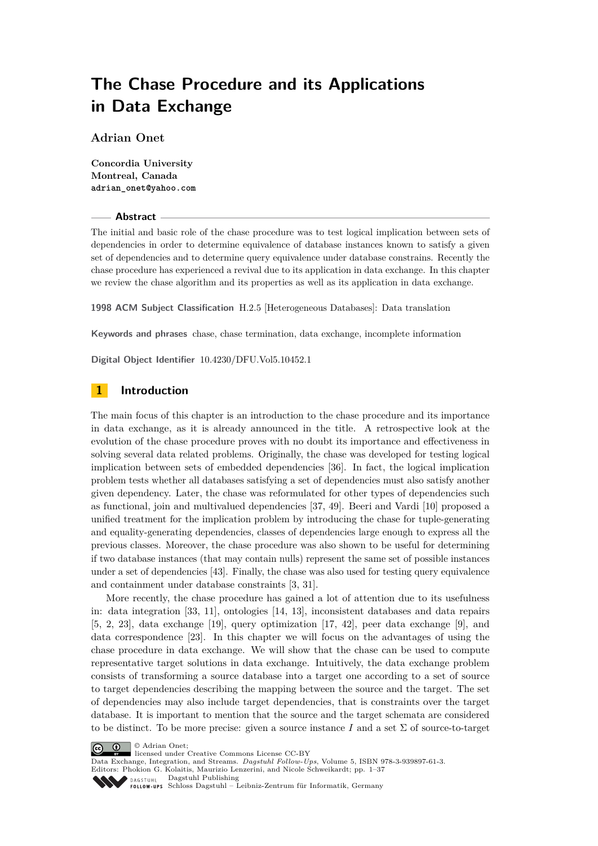**Adrian Onet**

**Concordia University Montreal, Canada adrian\_onet@yahoo.com**

#### **Abstract**

The initial and basic role of the chase procedure was to test logical implication between sets of dependencies in order to determine equivalence of database instances known to satisfy a given set of dependencies and to determine query equivalence under database constrains. Recently the chase procedure has experienced a revival due to its application in data exchange. In this chapter we review the chase algorithm and its properties as well as its application in data exchange.

**1998 ACM Subject Classification** H.2.5 [Heterogeneous Databases]: Data translation

**Keywords and phrases** chase, chase termination, data exchange, incomplete information

**Digital Object Identifier** [10.4230/DFU.Vol5.10452.1](http://dx.doi.org/10.4230/DFU.Vol5.10452.1)

# **1 Introduction**

The main focus of this chapter is an introduction to the chase procedure and its importance in data exchange, as it is already announced in the title. A retrospective look at the evolution of the chase procedure proves with no doubt its importance and effectiveness in solving several data related problems. Originally, the chase was developed for testing logical implication between sets of embedded dependencies [\[36\]](#page-35-0). In fact, the logical implication problem tests whether all databases satisfying a set of dependencies must also satisfy another given dependency. Later, the chase was reformulated for other types of dependencies such as functional, join and multivalued dependencies [\[37,](#page-35-1) [49\]](#page-36-0). Beeri and Vardi [\[10\]](#page-34-0) proposed a unified treatment for the implication problem by introducing the chase for tuple-generating and equality-generating dependencies, classes of dependencies large enough to express all the previous classes. Moreover, the chase procedure was also shown to be useful for determining if two database instances (that may contain nulls) represent the same set of possible instances under a set of dependencies [\[43\]](#page-35-2). Finally, the chase was also used for testing query equivalence and containment under database constraints [\[3,](#page-34-1) [31\]](#page-35-3).

More recently, the chase procedure has gained a lot of attention due to its usefulness in: data integration [\[33,](#page-35-4) [11\]](#page-34-2), ontologies [\[14,](#page-34-3) [13\]](#page-34-4), inconsistent databases and data repairs [\[5,](#page-34-5) [2,](#page-34-6) [23\]](#page-35-5), data exchange [\[19\]](#page-35-6), query optimization [\[17,](#page-35-7) [42\]](#page-35-8), peer data exchange [\[9\]](#page-34-7), and data correspondence [\[23\]](#page-35-5). In this chapter we will focus on the advantages of using the chase procedure in data exchange. We will show that the chase can be used to compute representative target solutions in data exchange. Intuitively, the data exchange problem consists of transforming a source database into a target one according to a set of source to target dependencies describing the mapping between the source and the target. The set of dependencies may also include target dependencies, that is constraints over the target database. It is important to mention that the source and the target schemata are considered to be distinct. To be more precise: given a source instance  $I$  and a set  $\Sigma$  of source-to-target





Data Exchange, Integration, and Streams. *Dagstuhl Fol low-Ups*, Volume 5, [ISBN 978-3-939897-61-3.](http://www.dagstuhl.de/dagpub/978-3-939897-61-3)

Editors: Phokion G. Kolaitis, Maurizio Lenzerini, and Nicole Schweikardt; pp. 1[–37](#page-36-1)

Dagstuhl Publishing  $\sum_{\text{DAGSTI}}$ 

Schloss Dagstuhl – Leibniz-Zentrum für Informatik, Germany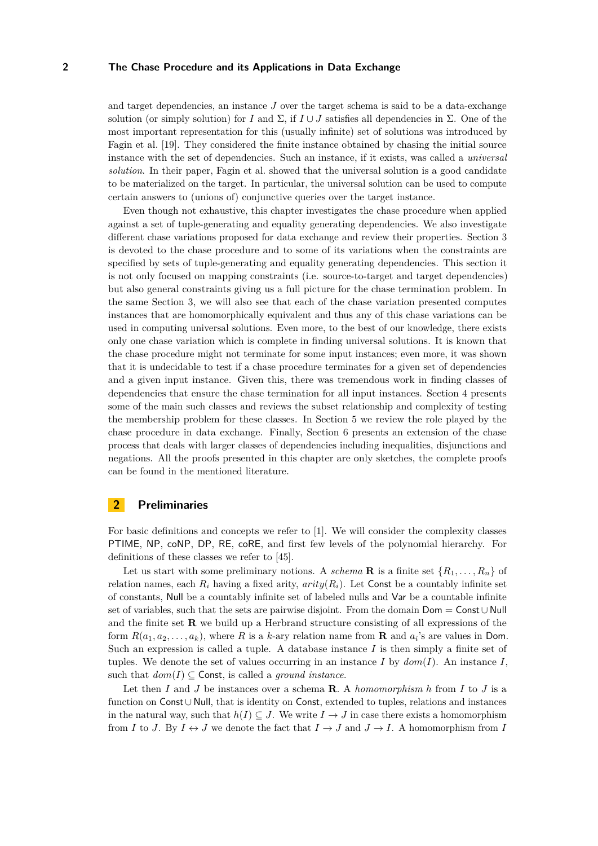and target dependencies, an instance *J* over the target schema is said to be a data-exchange solution (or simply solution) for *I* and  $\Sigma$ , if  $I \cup J$  satisfies all dependencies in  $\Sigma$ . One of the most important representation for this (usually infinite) set of solutions was introduced by Fagin et al. [\[19\]](#page-35-6). They considered the finite instance obtained by chasing the initial source instance with the set of dependencies. Such an instance, if it exists, was called a *universal solution*. In their paper, Fagin et al. showed that the universal solution is a good candidate to be materialized on the target. In particular, the universal solution can be used to compute certain answers to (unions of) conjunctive queries over the target instance.

Even though not exhaustive, this chapter investigates the chase procedure when applied against a set of tuple-generating and equality generating dependencies. We also investigate different chase variations proposed for data exchange and review their properties. Section [3](#page-2-0) is devoted to the chase procedure and to some of its variations when the constraints are specified by sets of tuple-generating and equality generating dependencies. This section it is not only focused on mapping constraints (i.e. source-to-target and target dependencies) but also general constraints giving us a full picture for the chase termination problem. In the same Section [3,](#page-2-0) we will also see that each of the chase variation presented computes instances that are homomorphically equivalent and thus any of this chase variations can be used in computing universal solutions. Even more, to the best of our knowledge, there exists only one chase variation which is complete in finding universal solutions. It is known that the chase procedure might not terminate for some input instances; even more, it was shown that it is undecidable to test if a chase procedure terminates for a given set of dependencies and a given input instance. Given this, there was tremendous work in finding classes of dependencies that ensure the chase termination for all input instances. Section [4](#page-13-0) presents some of the main such classes and reviews the subset relationship and complexity of testing the membership problem for these classes. In Section [5](#page-26-0) we review the role played by the chase procedure in data exchange. Finally, Section [6](#page-31-0) presents an extension of the chase process that deals with larger classes of dependencies including inequalities, disjunctions and negations. All the proofs presented in this chapter are only sketches, the complete proofs can be found in the mentioned literature.

## **2 Preliminaries**

For basic definitions and concepts we refer to [\[1\]](#page-34-8). We will consider the complexity classes PTIME, NP, coNP, DP, RE, coRE, and first few levels of the polynomial hierarchy. For definitions of these classes we refer to [\[45\]](#page-36-2).

Let us start with some preliminary notions. A *schema* **R** is a finite set  $\{R_1, \ldots, R_n\}$  of relation names, each  $R_i$  having a fixed arity,  $arity(R_i)$ . Let Const be a countably infinite set of constants, Null be a countably infinite set of labeled nulls and Var be a countable infinite set of variables, such that the sets are pairwise disjoint. From the domain Dom = Const ∪ Null and the finite set **R** we build up a Herbrand structure consisting of all expressions of the form  $R(a_1, a_2, \ldots, a_k)$ , where R is a *k*-ary relation name from **R** and  $a_i$ 's are values in Dom. Such an expression is called a tuple. A database instance *I* is then simply a finite set of tuples. We denote the set of values occurring in an instance  $I$  by  $dom(I)$ . An instance  $I$ , such that  $dom(I) \subseteq$  Const, is called a *ground instance*.

Let then *I* and *J* be instances over a schema **R**. A *homomorphism h* from *I* to *J* is a function on Const ∪ Null, that is identity on Const, extended to tuples, relations and instances in the natural way, such that  $h(I) \subseteq J$ . We write  $I \to J$  in case there exists a homomorphism from *I* to *J*. By  $I \leftrightarrow J$  we denote the fact that  $I \rightarrow J$  and  $J \rightarrow I$ . A homomorphism from *I*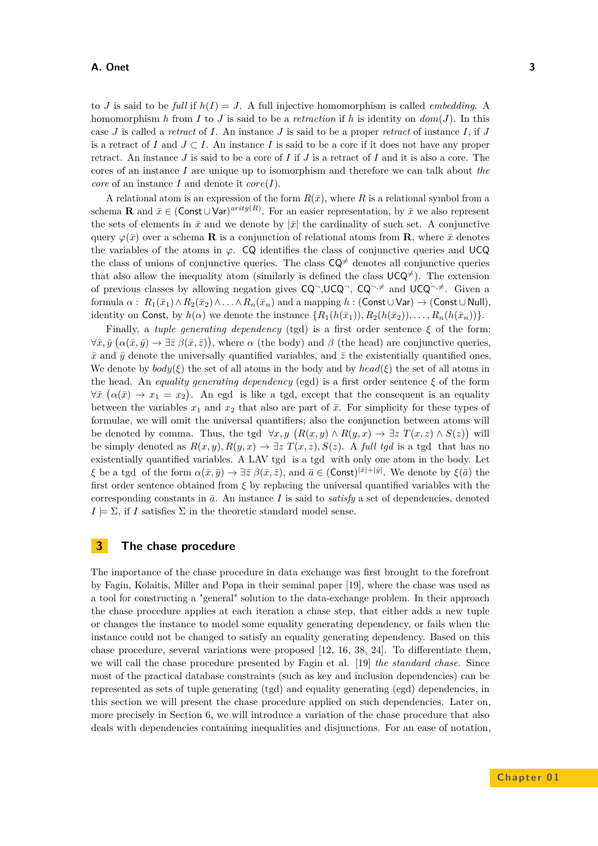to *J* is said to be *full* if *h*(*I*) = *J*. A full injective homomorphism is called *embedding*. A homomorphism *h* from *I* to *J* is said to be a *retraction* if *h* is identity on  $dom(J)$ . In this case *J* is called a *retract* of *I*. An instance *J* is said to be a proper *retract* of instance *I*, if *J* is a retract of *I* and  $J \subset I$ . An instance *I* is said to be a core if it does not have any proper retract. An instance *J* is said to be a core of *I* if *J* is a retract of *I* and it is also a core. The cores of an instance *I* are unique up to isomorphism and therefore we can talk about *the core* of an instance *I* and denote it  $core(I)$ .

A relational atom is an expression of the form  $R(\bar{x})$ , where R is a relational symbol from a schema **R** and  $\bar{x} \in (\text{Const} \cup \text{Var})^{arity(R)}$ . For an easier representation, by  $\bar{x}$  we also represent the sets of elements in  $\bar{x}$  and we denote by  $|\bar{x}|$  the cardinality of such set. A conjunctive query  $\varphi(\bar{x})$  over a schema **R** is a conjunction of relational atoms from **R**, where  $\bar{x}$  denotes the variables of the atoms in  $\varphi$ . CQ identifies the class of conjunctive queries and UCQ the class of unions of conjunctive queries. The class  $CQ^{\neq}$  denotes all conjunctive queries that also allow the inequality atom (similarly is defined the class  $UCQ^{\neq}$ ). The extension of previous classes by allowing negation gives  $CQ^{\dagger}$ ,  $UCQ^{\dagger}$ ,  $CQ^{\dagger}$ ,  $\neq$  and  $UCQ^{\dagger}$ ,  $\neq$ . Given a formula  $\alpha$  :  $R_1(\bar{x}_1) \wedge R_2(\bar{x}_2) \wedge \ldots \wedge R_n(\bar{x}_n)$  and a mapping  $h$  : (Const ∪ Var)  $\rightarrow$  (Const ∪ Null), identity on Const, by  $h(\alpha)$  we denote the instance  $\{R_1(h(\bar{x}_1)), R_2(h(\bar{x}_2)), \ldots, R_n(h(\bar{x}_n))\}$ .

Finally, a *tuple generating dependency* (tgd) is a first order sentence *ξ* of the form:  $\forall \bar{x}, \bar{y} \ (\alpha(\bar{x}, \bar{y}) \to \exists \bar{z} \ \beta(\bar{x}, \bar{z})$ , where  $\alpha$  (the body) and  $\beta$  (the head) are conjunctive queries,  $\bar{x}$  and  $\bar{y}$  denote the universally quantified variables, and  $\bar{z}$  the existentially quantified ones. We denote by  $body(\xi)$  the set of all atoms in the body and by  $head(\xi)$  the set of all atoms in the head. An *equality generating dependency* (egd) is a first order sentence  $\xi$  of the form  $\forall \bar{x} \ (\alpha(\bar{x}) \to x_1 = x_2)$ . An egd is like a tgd, except that the consequent is an equality between the variables  $x_1$  and  $x_2$  that also are part of  $\bar{x}$ . For simplicity for these types of formulae, we will omit the universal quantifiers; also the conjunction between atoms will be denoted by comma. Thus, the tgd  $\forall x, y \ (R(x, y) \land R(y, x) \rightarrow \exists z \ T(x, z) \land S(z))$  will be simply denoted as  $R(x, y), R(y, x) \to \exists z T(x, z), S(z)$ . A *full tgd* is a tgd that has no existentially quantified variables. A LAV tgd is a tgd with only one atom in the body. Let *ξ* be a tgd of the form  $\alpha(\bar{x}, \bar{y}) \to \exists \bar{z} \ \beta(\bar{x}, \bar{z})$ , and  $\bar{a} \in (\text{Const})^{|\bar{x}|+|\bar{y}|}$ . We denote by  $\xi(\bar{a})$  the first order sentence obtained from *ξ* by replacing the universal quantified variables with the corresponding constants in  $\bar{a}$ . An instance *I* is said to *satisfy* a set of dependencies, denoted  $I \models \Sigma$ , if *I* satisfies  $\Sigma$  in the theoretic standard model sense.

# <span id="page-2-0"></span>**3 The chase procedure**

The importance of the chase procedure in data exchange was first brought to the forefront by Fagin, Kolaitis, Miller and Popa in their seminal paper [\[19\]](#page-35-6), where the chase was used as a tool for constructing a "general" solution to the data-exchange problem. In their approach the chase procedure applies at each iteration a chase step, that either adds a new tuple or changes the instance to model some equality generating dependency, or fails when the instance could not be changed to satisfy an equality generating dependency. Based on this chase procedure, several variations were proposed [\[12,](#page-34-9) [16,](#page-34-10) [38,](#page-35-9) [24\]](#page-35-10). To differentiate them, we will call the chase procedure presented by Fagin et al. [\[19\]](#page-35-6) *the standard chase*. Since most of the practical database constraints (such as key and inclusion dependencies) can be represented as sets of tuple generating (tgd) and equality generating (egd) dependencies, in this section we will present the chase procedure applied on such dependencies. Later on, more precisely in Section [6,](#page-31-0) we will introduce a variation of the chase procedure that also deals with dependencies containing inequalities and disjunctions. For an ease of notation,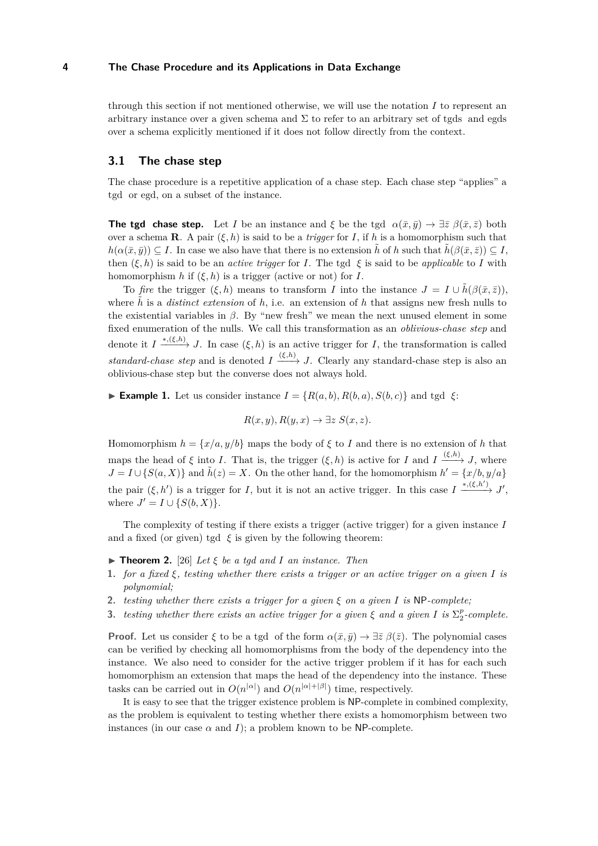through this section if not mentioned otherwise, we will use the notation *I* to represent an arbitrary instance over a given schema and  $\Sigma$  to refer to an arbitrary set of tgds and egds over a schema explicitly mentioned if it does not follow directly from the context.

## **3.1 The chase step**

The chase procedure is a repetitive application of a chase step. Each chase step "applies" a tgd or egd, on a subset of the instance.

**The tgd chase step.** Let *I* be an instance and *ξ* be the tgd  $\alpha(\bar{x}, \bar{y}) \to \exists \bar{z} \; \beta(\bar{x}, \bar{z})$  both over a schema **R**. A pair  $(\xi, h)$  is said to be a *trigger* for *I*, if *h* is a homomorphism such that  $h(\alpha(\bar{x}, \bar{y})) \subseteq I$ . In case we also have that there is no extension  $\tilde{h}$  of *h* such that  $\tilde{h}(\beta(\bar{x}, \bar{z})) \subseteq I$ , then  $(\xi, h)$  is said to be an *active trigger* for *I*. The tgd  $\xi$  is said to be *applicable* to *I* with homomorphism *h* if  $(\xi, h)$  is a trigger (active or not) for *I*.

To *fire* the trigger  $(\xi, h)$  means to transform *I* into the instance  $J = I \cup \hat{h}(\beta(\bar{x}, \bar{z}))$ , where  $\tilde{h}$  is a *distinct extension* of  $h$ , i.e. an extension of  $h$  that assigns new fresh nulls to the existential variables in *β*. By "new fresh" we mean the next unused element in some fixed enumeration of the nulls. We call this transformation as an *oblivious-chase step* and denote it  $I \xrightarrow{*,(\xi,h)} J$ . In case  $(\xi, h)$  is an active trigger for *I*, the transformation is called *standard-chase step* and is denoted  $I \xrightarrow{(\xi,h)} J$ . Clearly any standard-chase step is also an oblivious-chase step but the converse does not always hold.

<span id="page-3-1"></span>**► Example 1.** Let us consider instance  $I = \{R(a, b), R(b, a), S(b, c)\}\$ and tgd  $ξ$ :

$$
R(x, y), R(y, x) \to \exists z \ S(x, z).
$$

Homomorphism  $h = \{x/a, y/b\}$  maps the body of  $\xi$  to *I* and there is no extension of *h* that maps the head of  $\xi$  into *I*. That is, the trigger  $(\xi, h)$  is active for *I* and *I*  $\xrightarrow{(\xi, h)} J$ , where  $J = I \cup \{S(a, X)\}\$ and  $\tilde{h}(z) = X$ . On the other hand, for the homomorphism  $h' = \{x/b, y/a\}$ the pair  $(\xi, h')$  is a trigger for *I*, but it is not an active trigger. In this case  $I \xrightarrow{*, (\xi, h')} J'$ , where  $J' = I \cup \{S(b, X)\}.$ 

The complexity of testing if there exists a trigger (active trigger) for a given instance *I* and a fixed (or given) tgd  $\xi$  is given by the following theorem:

- <span id="page-3-0"></span> $\triangleright$  **Theorem 2.** [\[26\]](#page-35-11) *Let*  $\xi$  *be a tgd and I an instance. Then*
- **1.** *for a fixed ξ, testing whether there exists a trigger or an active trigger on a given I is polynomial;*
- **2.** *testing whether there exists a trigger for a given ξ on a given I is* NP*-complete;*
- **3.** *testing whether there exists an active trigger for a given*  $\xi$  *and a given*  $I$  *is*  $\Sigma_2^p$ -complete.

**Proof.** Let us consider  $\xi$  to be a tgd of the form  $\alpha(\bar{x}, \bar{y}) \to \exists \bar{z} \beta(\bar{z})$ . The polynomial cases can be verified by checking all homomorphisms from the body of the dependency into the instance. We also need to consider for the active trigger problem if it has for each such homomorphism an extension that maps the head of the dependency into the instance. These tasks can be carried out in  $O(n^{|\alpha|})$  and  $O(n^{|\alpha|+|\beta|})$  time, respectively.

It is easy to see that the trigger existence problem is NP-complete in combined complexity, as the problem is equivalent to testing whether there exists a homomorphism between two instances (in our case  $\alpha$  and *I*); a problem known to be NP-complete.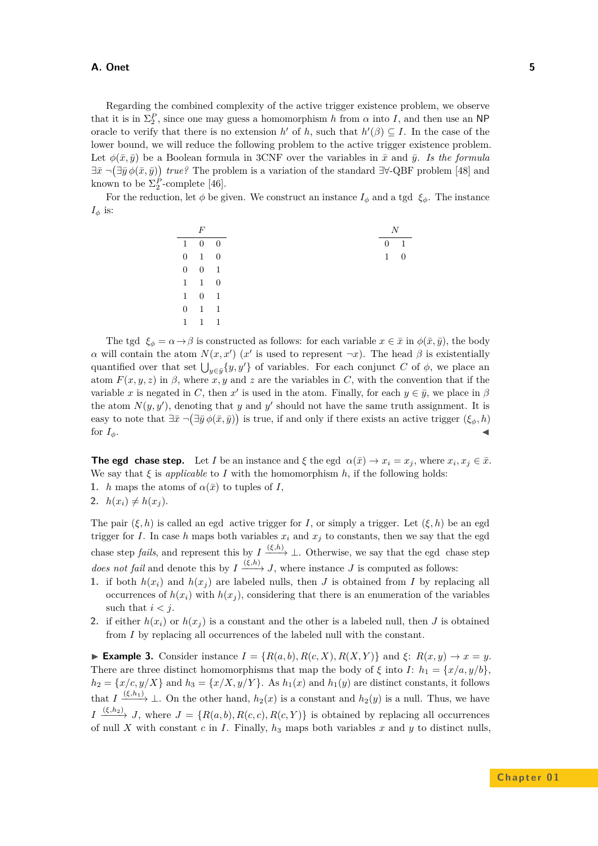Regarding the combined complexity of the active trigger existence problem, we observe that it is in  $\Sigma_2^P$ , since one may guess a homomorphism *h* from  $\alpha$  into *I*, and then use an NP oracle to verify that there is no extension *h*<sup> $\prime$ </sup> of *h*, such that  $h'(\beta) \subseteq I$ . In the case of the lower bound, we will reduce the following problem to the active trigger existence problem. Let  $\phi(\bar{x}, \bar{y})$  be a Boolean formula in 3CNF over the variables in  $\bar{x}$  and  $\bar{y}$ . *Is the formula*  $\exists \bar{x} \neg (\exists \bar{y} \phi(\bar{x}, \bar{y}))$  true? The problem is a variation of the standard  $\exists \forall$ -QBF problem [\[48\]](#page-36-3) and known to be  $\Sigma_2^P$ -complete [\[46\]](#page-36-4).

For the reduction, let  $\phi$  be given. We construct an instance  $I_{\phi}$  and a tgd  $\xi_{\phi}$ . The instance  $I_\phi$  is:

|   | F                   |                |              | N |
|---|---------------------|----------------|--------------|---|
|   | $1 \quad 0 \quad 0$ |                | $0 \quad 1$  |   |
|   | $0 \quad 1 \quad 0$ |                | $\mathbf{1}$ |   |
|   | $0 \quad 0 \quad 1$ |                |              |   |
|   | $1 \quad 1 \quad 0$ |                |              |   |
|   | $1 \quad 0 \quad 1$ |                |              |   |
|   | $0 \quad 1 \quad 1$ |                |              |   |
| 1 | $\overline{1}$      | $\overline{1}$ |              |   |

The tgd  $\xi_{\phi} = \alpha \rightarrow \beta$  is constructed as follows: for each variable  $x \in \bar{x}$  in  $\phi(\bar{x}, \bar{y})$ , the body *α* will contain the atom  $N(x, x')$  (*x'* is used to represent  $\neg x$ ). The head *β* is existentially quantified over that set  $\bigcup_{y \in \bar{y}} \{y, y'\}$  of variables. For each conjunct *C* of  $\phi$ , we place an atom  $F(x, y, z)$  in  $\beta$ , where  $x, y$  and  $z$  are the variables in *C*, with the convention that if the variable *x* is negated in *C*, then *x*<sup>'</sup> is used in the atom. Finally, for each  $y \in \bar{y}$ , we place in  $\beta$ the atom  $N(y, y')$ , denoting that *y* and *y'* should not have the same truth assignment. It is easy to note that  $\exists \bar{x} \ \neg(\exists \bar{y} \ \phi(\bar{x}, \bar{y}))$  is true, if and only if there exists an active trigger  $(\xi_{\phi}, h)$ for  $I_{\phi}$ .

**The egd chase step.** Let *I* be an instance and  $\xi$  the egd  $\alpha(\bar{x}) \to x_i = x_j$ , where  $x_i, x_j \in \bar{x}$ . We say that  $\xi$  is *applicable* to *I* with the homomorphism  $h$ , if the following holds: **1.** *h* maps the atoms of  $\alpha(\bar{x})$  to tuples of *I*,

**2.**  $h(x_i) \neq h(x_i)$ .

The pair  $(\xi, h)$  is called an egd active trigger for *I*, or simply a trigger. Let  $(\xi, h)$  be an egd trigger for *I*. In case *h* maps both variables  $x_i$  and  $x_j$  to constants, then we say that the egd chase step *fails*, and represent this by  $I \xrightarrow{(\xi,h)} \bot$ . Otherwise, we say that the egd chase step *does not fail* and denote this by  $I \xrightarrow{(\xi,h)} J$ , where instance *J* is computed as follows:

- **1.** if both  $h(x_i)$  and  $h(x_j)$  are labeled nulls, then *J* is obtained from *I* by replacing all occurrences of  $h(x_i)$  with  $h(x_j)$ , considering that there is an enumeration of the variables such that  $i < j$ .
- **2.** if either  $h(x_i)$  or  $h(x_j)$  is a constant and the other is a labeled null, then *J* is obtained from *I* by replacing all occurrences of the labeled null with the constant.

► **Example 3.** Consider instance  $I = \{R(a, b), R(c, X), R(X, Y)\}\$  and  $\xi$ :  $R(x, y) \rightarrow x = y$ . There are three distinct homomorphisms that map the body of  $\xi$  into *I*:  $h_1 = \{x/a, y/b\}$ ,  $h_2 = \{x/c, y/X\}$  and  $h_3 = \{x/X, y/Y\}$ . As  $h_1(x)$  and  $h_1(y)$  are distinct constants, it follows that  $I \xrightarrow{(\xi,h_1)} \bot$ . On the other hand,  $h_2(x)$  is a constant and  $h_2(y)$  is a null. Thus, we have  $I \xrightarrow{(\xi,h_2)} J$ , where  $J = \{R(a,b), R(c,c), R(c,Y)\}$  is obtained by replacing all occurrences of null X with constant  $c$  in  $I$ . Finally,  $h_3$  maps both variables  $x$  and  $y$  to distinct nulls,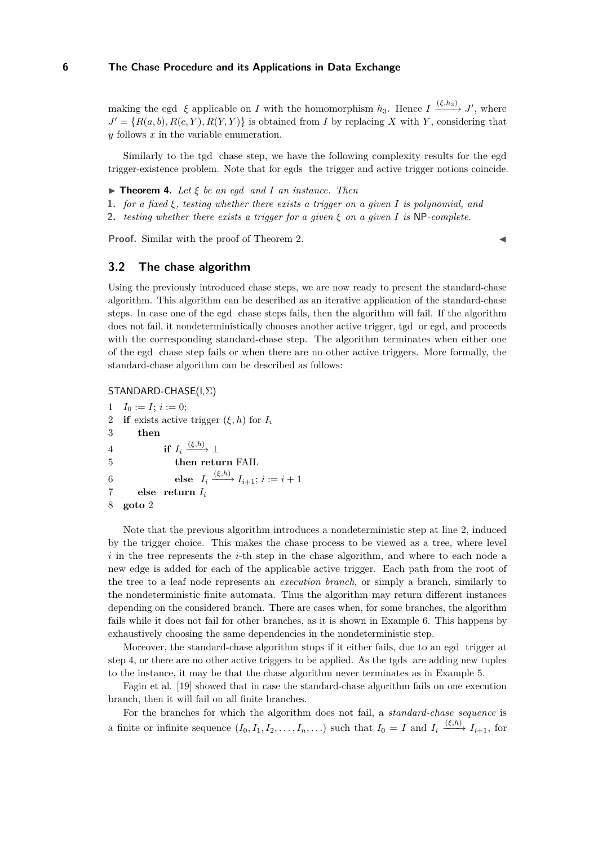making the egd  $\xi$  applicable on *I* with the homomorphism  $h_3$ . Hence  $I \xrightarrow{(\xi, h_3)} J'$ , where  $J' = \{R(a, b), R(c, Y), R(Y, Y)\}\$ is obtained from *I* by replacing *X* with *Y*, considering that *y* follows *x* in the variable enumeration.

Similarly to the tgd chase step, we have the following complexity results for the egd trigger-existence problem. Note that for egds the trigger and active trigger notions coincide.

- I **Theorem 4.** *Let ξ be an egd and I an instance. Then*
- **1.** *for a fixed ξ, testing whether there exists a trigger on a given I is polynomial, and*
- **2.** *testing whether there exists a trigger for a given ξ on a given I is* NP*-complete.*

**Proof.** Similar with the proof of Theorem [2.](#page-3-0)

## **3.2 The chase algorithm**

Using the previously introduced chase steps, we are now ready to present the standard-chase algorithm. This algorithm can be described as an iterative application of the standard-chase steps. In case one of the egd chase steps fails, then the algorithm will fail. If the algorithm does not fail, it nondeterministically chooses another active trigger, tgd or egd, and proceeds with the corresponding standard-chase step. The algorithm terminates when either one of the egd chase step fails or when there are no other active triggers. More formally, the standard-chase algorithm can be described as follows:

STANDARD-CHASE(I,Σ)

```
1 \quad I_0 := I; i := 0;2 if exists active trigger (\xi, h) for I_i3 then
4 if I_i \xrightarrow{(\xi,h)} \perp5 then return FAIL
6 else I_i \xrightarrow{(\xi,h)} I_{i+1}; i := i+17 else return Ii
8 goto 2
```
Note that the previous algorithm introduces a nondeterministic step at line 2, induced by the trigger choice. This makes the chase process to be viewed as a tree, where level *i* in the tree represents the *i*-th step in the chase algorithm, and where to each node a new edge is added for each of the applicable active trigger. Each path from the root of the tree to a leaf node represents an *execution branch*, or simply a branch, similarly to the nondeterministic finite automata. Thus the algorithm may return different instances depending on the considered branch. There are cases when, for some branches, the algorithm fails while it does not fail for other branches, as it is shown in Example [6.](#page-6-0) This happens by exhaustively choosing the same dependencies in the nondeterministic step.

Moreover, the standard-chase algorithm stops if it either fails, due to an egd trigger at step 4, or there are no other active triggers to be applied. As the tgds are adding new tuples to the instance, it may be that the chase algorithm never terminates as in Example [5.](#page-6-1)

Fagin et al. [\[19\]](#page-35-6) showed that in case the standard-chase algorithm fails on one execution branch, then it will fail on all finite branches.

For the branches for which the algorithm does not fail, a *standard-chase sequence* is a finite or infinite sequence  $(I_0, I_1, I_2, \ldots, I_n, \ldots)$  such that  $I_0 = I$  and  $I_i \xrightarrow{(\xi,h)} I_{i+1}$ , for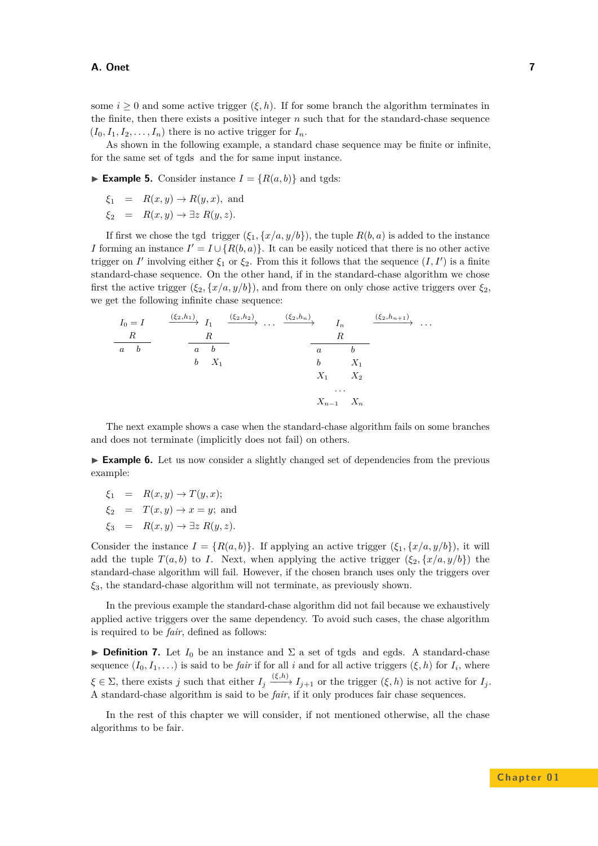some  $i \geq 0$  and some active trigger  $(\xi, h)$ . If for some branch the algorithm terminates in the finite, then there exists a positive integer *n* such that for the standard-chase sequence  $(I_0, I_1, I_2, \ldots, I_n)$  there is no active trigger for  $I_n$ .

As shown in the following example, a standard chase sequence may be finite or infinite, for the same set of tgds and the for same input instance.

<span id="page-6-1"></span>**Example 5.** Consider instance  $I = \{R(a, b)\}\$ and tgds:

$$
\xi_1 = R(x, y) \to R(y, x), \text{ and}
$$

 $\xi_2 = R(x, y) \rightarrow \exists z R(y, z).$ 

If first we chose the tgd trigger  $(\xi_1, \{x/a, y/b\})$ , the tuple  $R(b, a)$  is added to the instance *I* forming an instance  $I' = I \cup \{R(b, a)\}$ . It can be easily noticed that there is no other active trigger on *I'* involving either  $\xi_1$  or  $\xi_2$ . From this it follows that the sequence  $(I, I')$  is a finite standard-chase sequence. On the other hand, if in the standard-chase algorithm we chose first the active trigger  $(\xi_2, \{x/a, y/b\})$ , and from there on only chose active triggers over  $\xi_2$ , we get the following infinite chase sequence:

$$
I_0 = I \qquad \xrightarrow{( \xi_2, h_1 )} I_1 \xrightarrow{(\xi_2, h_2 )} \cdots \xrightarrow{(\xi_2, h_n )} I_n \xrightarrow{(\xi_2, h_{n+1})} \cdots
$$
  
\n
$$
\xrightarrow{R} \qquad \xrightarrow{R} \qquad \xrightarrow{R} \qquad \xrightarrow{R} \qquad \xrightarrow{R} \qquad \xrightarrow{R} \qquad \xrightarrow{R} \qquad \xrightarrow{R} \qquad \xrightarrow{R} \qquad \xrightarrow{R} \qquad \xrightarrow{R} \qquad \xrightarrow{R} \qquad \xrightarrow{R} \qquad \xrightarrow{R} \qquad \xrightarrow{R} \qquad \xrightarrow{R} \qquad \xrightarrow{R} \qquad \xrightarrow{R} \qquad \xrightarrow{R} \qquad \xrightarrow{R} \qquad \xrightarrow{R} \qquad \xrightarrow{R} \qquad \xrightarrow{R} \qquad \xrightarrow{R} \qquad \xrightarrow{R} \qquad \xrightarrow{R} \qquad \xrightarrow{R} \qquad \xrightarrow{R} \qquad \xrightarrow{R} \qquad \xrightarrow{R} \qquad \xrightarrow{R} \qquad \xrightarrow{R} \qquad \xrightarrow{R} \qquad \xrightarrow{R} \qquad \xrightarrow{R} \qquad \xrightarrow{R} \qquad \xrightarrow{R} \qquad \xrightarrow{R} \qquad \xrightarrow{R} \qquad \xrightarrow{R} \qquad \xrightarrow{R} \qquad \xrightarrow{R} \qquad \xrightarrow{R} \qquad \xrightarrow{R} \qquad \xrightarrow{R} \qquad \xrightarrow{R} \qquad \xrightarrow{R} \qquad \xrightarrow{R} \qquad \xrightarrow{R} \qquad \xrightarrow{R} \qquad \xrightarrow{R} \qquad \xrightarrow{R} \qquad \xrightarrow{R} \qquad \xrightarrow{R} \qquad \xrightarrow{R} \qquad \xrightarrow{R} \qquad \xrightarrow{R} \qquad \xrightarrow{R} \qquad \xrightarrow{R} \qquad \xrightarrow{R} \qquad \xrightarrow{R} \qquad \xrightarrow{R} \qquad \xrightarrow{R} \qquad \xrightarrow{R} \qquad \xrightarrow{R} \qquad \xrightarrow{R} \qquad \xrightarrow{R} \qquad \xrightarrow{R} \qquad \xrightarrow{R} \qquad \xrightarrow{R} \qquad \xrightarrow{R} \qquad \xrightarrow{R} \qquad \xrightarrow{R} \qquad \xrightarrow{R} \qquad \xrightarrow{R}
$$

The next example shows a case when the standard-chase algorithm fails on some branches and does not terminate (implicitly does not fail) on others.

<span id="page-6-0"></span>► **Example 6.** Let us now consider a slightly changed set of dependencies from the previous example:

- $\xi_1 = R(x, y) \rightarrow T(y, x);$  $\xi_2 = T(x, y) \rightarrow x = y$ ; and
- $\xi_3 = R(x, y) \rightarrow \exists z R(y, z).$

Consider the instance  $I = \{R(a, b)\}\$ . If applying an active trigger  $(\xi_1, \{x/a, y/b\})$ , it will add the tuple  $T(a, b)$  to *I*. Next, when applying the active trigger  $(\xi_2, \{x/a, y/b\})$  the standard-chase algorithm will fail. However, if the chosen branch uses only the triggers over *ξ*3, the standard-chase algorithm will not terminate, as previously shown.

In the previous example the standard-chase algorithm did not fail because we exhaustively applied active triggers over the same dependency. To avoid such cases, the chase algorithm is required to be *fair*, defined as follows:

**Definition 7.** Let  $I_0$  be an instance and  $\Sigma$  a set of tgds and egds. A standard-chase sequence  $(I_0, I_1, \ldots)$  is said to be *fair* if for all *i* and for all active triggers  $(\xi, h)$  for  $I_i$ , where  $\xi \in \Sigma$ , there exists *j* such that either  $I_j \xrightarrow{(\xi,h)} I_{j+1}$  or the trigger  $(\xi, h)$  is not active for  $I_j$ . A standard-chase algorithm is said to be *fair*, if it only produces fair chase sequences.

In the rest of this chapter we will consider, if not mentioned otherwise, all the chase algorithms to be fair.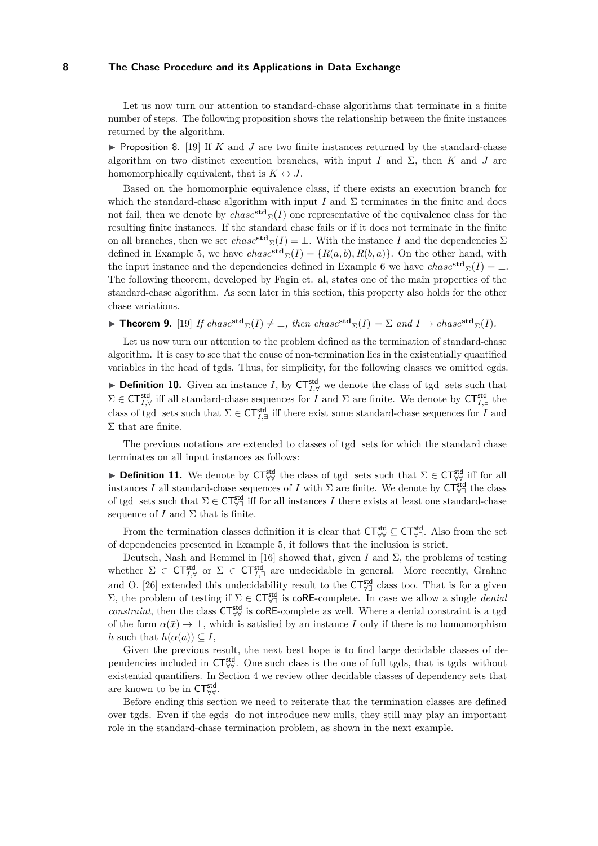Let us now turn our attention to standard-chase algorithms that terminate in a finite number of steps. The following proposition shows the relationship between the finite instances returned by the algorithm.

**Proposition 8.** [\[19\]](#page-35-6) If  $K$  and  $J$  are two finite instances returned by the standard-chase algorithm on two distinct execution branches, with input *I* and  $\Sigma$ , then *K* and *J* are homomorphically equivalent, that is  $K \leftrightarrow J$ .

Based on the homomorphic equivalence class, if there exists an execution branch for which the standard-chase algorithm with input *I* and  $\Sigma$  terminates in the finite and does not fail, then we denote by *chase***std** <sup>Σ</sup>(*I*) one representative of the equivalence class for the resulting finite instances. If the standard chase fails or if it does not terminate in the finite on all branches, then we set  $chase^{\text{std}}_{\Sigma}(I) = \bot$ . With the instance *I* and the dependencies  $\Sigma$ defined in Example [5,](#page-6-1) we have  $chase^{\text{std}}_{\Sigma}(I) = \{R(a, b), R(b, a)\}.$  On the other hand, with the input instance and the dependencies defined in Example [6](#page-6-0) we have  $chase^{\text{std}}_{\Sigma}(I) = \bot$ . The following theorem, developed by Fagin et. al, states one of the main properties of the standard-chase algorithm. As seen later in this section, this property also holds for the other chase variations.

<span id="page-7-0"></span>▶ Theorem 9. [\[19\]](#page-35-6) *If*  $chase^{std}_{\Sigma}(I) \neq \bot$ , then  $chase^{std}_{\Sigma}(I) \models \Sigma$  and  $I \rightarrow chase^{std}_{\Sigma}(I)$ .

Let us now turn our attention to the problem defined as the termination of standard-chase algorithm. It is easy to see that the cause of non-termination lies in the existentially quantified variables in the head of tgds. Thus, for simplicity, for the following classes we omitted egds.

**Definition 10.** Given an instance *I*, by  $CT_{I,\forall}^{\text{std}}$  we denote the class of tgd sets such that  $\Sigma$  ∈ CT<sup>std</sup><sub>*I,∀*</sub> iff all standard-chase sequences for *I* and  $\Sigma$  are finite. We denote by CT<sup>std</sup><sub>*I*,∃</sub> the class of tgd sets such that  $\Sigma \in \mathsf{CT}^{\mathsf{std}}_{I,\exists}$  iff there exist some standard-chase sequences for *I* and  $\Sigma$  that are finite.

The previous notations are extended to classes of tgd sets for which the standard chase terminates on all input instances as follows:

► **Definition 11.** We denote by  $CT^{std}_{\forall\forall}$  the class of tgd sets such that  $\Sigma \in CT^{std}_{\forall\forall}$  iff for all instances *I* all standard-chase sequences of *I* with  $\Sigma$  are finite. We denote by  $\mathsf{CT}^{\mathsf{std}}_{\forall \exists}$  the class of tgd sets such that  $\Sigma \in \mathsf{CT}^{\mathsf{std}}_{\forall\exists}$  iff for all instances *I* there exists at least one standard-chase sequence of  $I$  and  $\Sigma$  that is finite.

From the termination classes definition it is clear that  $CT_{\forall\forall}^{\mathsf{std}} \subseteq CT_{\forall\exists}^{\mathsf{std}}$ . Also from the set of dependencies presented in Example [5,](#page-6-1) it follows that the inclusion is strict.

Deutsch, Nash and Remmel in [\[16\]](#page-34-10) showed that, given *I* and  $\Sigma$ , the problems of testing whether  $\Sigma \in \mathsf{CT}_{I, \forall}^{\mathsf{std}}$  or  $\Sigma \in \mathsf{CT}_{I, \exists}^{\mathsf{std}}$  are undecidable in general. More recently, Grahne and O. [\[26\]](#page-35-11) extended this undecidability result to the  $CT^{std}_{\forall \exists}$  class too. That is for a given  $Σ$ , the problem of testing if  $Σ ∈ CT^{std}_{∀}$  is coRE-complete. In case we allow a single *denial constraint*, then the class  $CT^{std}_{VV}$  is coRE-complete as well. Where a denial constraint is a tgd of the form  $\alpha(\bar{x}) \to \bot$ , which is satisfied by an instance *I* only if there is no homomorphism *h* such that  $h(\alpha(\bar{a})) \subseteq I$ ,

Given the previous result, the next best hope is to find large decidable classes of dependencies included in  $CT^{std}_{\forall\forall}$ . One such class is the one of full tgds, that is tgds without existential quantifiers. In Section [4](#page-13-0) we review other decidable classes of dependency sets that are known to be in  $CT^{\text{std}}_{\forall\forall}$ .

Before ending this section we need to reiterate that the termination classes are defined over tgds. Even if the egds do not introduce new nulls, they still may play an important role in the standard-chase termination problem, as shown in the next example.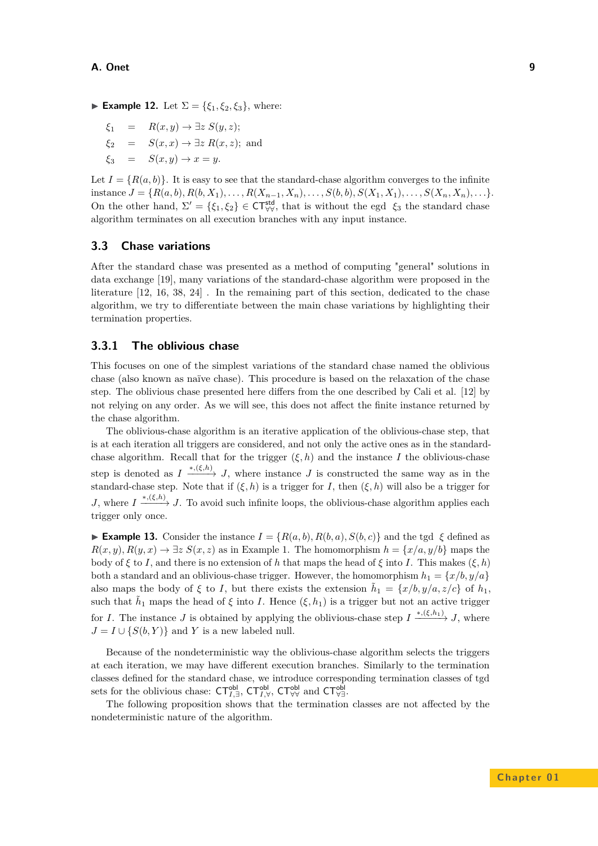- ► **Example 12.** Let  $\Sigma = \{\xi_1, \xi_2, \xi_3\}$ , where:
	- $\xi_1 = R(x, y) \rightarrow \exists z S(y, z);$
	- $\xi_2 = S(x, x) \rightarrow \exists z R(x, z);$  and
	- $\xi_3 = S(x, y) \rightarrow x = y.$

Let  $I = \{R(a, b)\}\.$  It is easy to see that the standard-chase algorithm converges to the infinite instance  $J = \{R(a, b), R(b, X_1), \ldots, R(X_{n-1}, X_n), \ldots, S(b, b), S(X_1, X_1), \ldots, S(X_n, X_n), \ldots\}$ On the other hand,  $\Sigma' = \{\xi_1, \xi_2\} \in CT_{\forall\forall}^{\mathsf{std}}$ , that is without the egd  $\xi_3$  the standard chase algorithm terminates on all execution branches with any input instance.

# **3.3 Chase variations**

After the standard chase was presented as a method of computing "general" solutions in data exchange [\[19\]](#page-35-6), many variations of the standard-chase algorithm were proposed in the literature [\[12,](#page-34-9) [16,](#page-34-10) [38,](#page-35-9) [24\]](#page-35-10) . In the remaining part of this section, dedicated to the chase algorithm, we try to differentiate between the main chase variations by highlighting their termination properties.

# **3.3.1 The oblivious chase**

This focuses on one of the simplest variations of the standard chase named the oblivious chase (also known as naïve chase). This procedure is based on the relaxation of the chase step. The oblivious chase presented here differs from the one described by Cali et al. [\[12\]](#page-34-9) by not relying on any order. As we will see, this does not affect the finite instance returned by the chase algorithm.

The oblivious-chase algorithm is an iterative application of the oblivious-chase step, that is at each iteration all triggers are considered, and not only the active ones as in the standardchase algorithm. Recall that for the trigger  $(\xi, h)$  and the instance *I* the oblivious-chase step is denoted as  $I \xrightarrow{*,(\xi,h)} J$ , where instance *J* is constructed the same way as in the standard-chase step. Note that if  $(\xi, h)$  is a trigger for *I*, then  $(\xi, h)$  will also be a trigger for *J*, where  $I \xrightarrow{*,(\xi,h)} J$ . To avoid such infinite loops, the oblivious-chase algorithm applies each trigger only once.

**► Example 13.** Consider the instance  $I = \{R(a, b), R(b, a), S(b, c)\}\$  and the tgd  $\xi$  defined as  $R(x, y), R(y, x) \to \exists z S(x, z)$  as in Example [1.](#page-3-1) The homomorphism  $h = \{x/a, y/b\}$  maps the body of  $\xi$  to *I*, and there is no extension of *h* that maps the head of  $\xi$  into *I*. This makes  $(\xi, h)$ both a standard and an oblivious-chase trigger. However, the homomorphism  $h_1 = \{x/b, y/a\}$ also maps the body of  $\xi$  to *I*, but there exists the extension  $\tilde{h}_1 = \{x/b, y/a, z/c\}$  of  $h_1$ , such that  $\tilde{h}_1$  maps the head of  $\xi$  into *I*. Hence  $(\xi, h_1)$  is a trigger but not an active trigger for *I*. The instance *J* is obtained by applying the oblivious-chase step  $I \xrightarrow{*,(\xi,h_1)} J$ , where  $J = I \cup \{S(b, Y)\}\$ and *Y* is a new labeled null.

Because of the nondeterministic way the oblivious-chase algorithm selects the triggers at each iteration, we may have different execution branches. Similarly to the termination classes defined for the standard chase, we introduce corresponding termination classes of tgd sets for the oblivious chase:  $CT_{I, \exists}^{\text{obl}}, CT_{I, \forall}^{\text{obl}}, CT_{\forall \forall}^{\text{obl}}$  and  $CT_{\forall \exists}^{\text{obl}}$ .

The following proposition shows that the termination classes are not affected by the nondeterministic nature of the algorithm.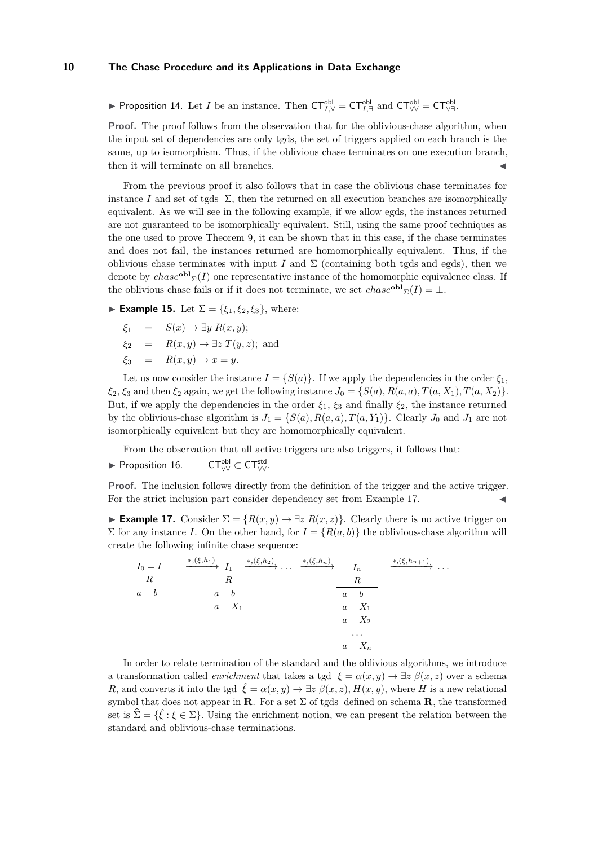► Proposition 14. Let *I* be an instance. Then  $CT_{I,\forall}^{\text{obl}} = CT_{I,\exists}^{\text{obl}}$  and  $CT_{\forall\forall}^{\text{obl}} = CT_{\forall\exists}^{\text{obl}}$ .

**Proof.** The proof follows from the observation that for the oblivious-chase algorithm, when the input set of dependencies are only tgds, the set of triggers applied on each branch is the same, up to isomorphism. Thus, if the oblivious chase terminates on one execution branch, then it will terminate on all branches.

From the previous proof it also follows that in case the oblivious chase terminates for instance *I* and set of tgds  $\Sigma$ , then the returned on all execution branches are isomorphically equivalent. As we will see in the following example, if we allow egds, the instances returned are not guaranteed to be isomorphically equivalent. Still, using the same proof techniques as the one used to prove Theorem [9,](#page-7-0) it can be shown that in this case, if the chase terminates and does not fail, the instances returned are homomorphically equivalent. Thus, if the oblivious chase terminates with input *I* and  $\Sigma$  (containing both tgds and egds), then we denote by  $chase^{\text{obl}}_{\Sigma}(I)$  one representative instance of the homomorphic equivalence class. If the oblivious chase fails or if it does not terminate, we set  $chase^{\text{obl}}_{\Sigma}(I) = \bot$ .

► **Example 15.** Let  $\Sigma = \{\xi_1, \xi_2, \xi_3\}$ , where:

$$
\xi_1 = S(x) \rightarrow \exists y \ R(x, y);
$$
  
\n
$$
\xi_2 = R(x, y) \rightarrow \exists z \ T(y, z);
$$
 and  
\n
$$
\xi_3 = R(x, y) \rightarrow x = y.
$$

Let us now consider the instance  $I = \{S(a)\}\$ . If we apply the dependencies in the order  $\xi_1$ , *ξ*<sub>2</sub>, *ξ*<sub>3</sub> and then *ξ*<sub>2</sub> again, we get the following instance  $J_0 = \{S(a), R(a, a), T(a, X_1), T(a, X_2)\}.$ But, if we apply the dependencies in the order  $\xi_1$ ,  $\xi_3$  and finally  $\xi_2$ , the instance returned by the oblivious-chase algorithm is  $J_1 = \{S(a), R(a, a), T(a, Y_1)\}$ . Clearly  $J_0$  and  $J_1$  are not isomorphically equivalent but they are homomorphically equivalent.

From the observation that all active triggers are also triggers, it follows that:

 $\blacktriangleright$  Proposition 16.  $_{\forall\forall}^{\mathsf{obl}} \subset \mathsf{CT}_{\forall\forall}^{\mathsf{std}}.$ 

**Proof.** The inclusion follows directly from the definition of the trigger and the active trigger. For the strict inclusion part consider dependency set from Example [17.](#page-9-0)

<span id="page-9-0"></span>**Example 17.** Consider  $\Sigma = \{R(x, y) \rightarrow \exists z \; R(x, z)\}.$  Clearly there is no active trigger on  $\Sigma$  for any instance *I*. On the other hand, for  $I = {R(a, b)}$  the oblivious-chase algorithm will create the following infinite chase sequence:

| $I_0 = I$        | $\xrightarrow{\ast,(\xi,h_1)} I_1$ | $\xrightarrow{\ast,(\xi,h_2)}\ldots$ | $*, (\xi, h_n)$  | $I_n$            | *, $(\xi, h_{n+1})$<br>$\cdot$ $\cdot$ |
|------------------|------------------------------------|--------------------------------------|------------------|------------------|----------------------------------------|
| $\boldsymbol{R}$ | R                                  |                                      |                  | R                |                                        |
| $\it a$          | $\boldsymbol{b}$<br>$\alpha$       |                                      | $\boldsymbol{a}$ | $\boldsymbol{b}$ |                                        |
|                  | $X_1$<br>$\boldsymbol{a}$          |                                      | $\it a$          | $X_1$            |                                        |
|                  |                                    |                                      | $\it a$          | $X_2$            |                                        |
|                  |                                    |                                      |                  | $\cdots$         |                                        |
|                  |                                    |                                      | $\boldsymbol{a}$ | $X_n$            |                                        |

In order to relate termination of the standard and the oblivious algorithms, we introduce a transformation called *enrichment* that takes a tgd  $\xi = \alpha(\bar{x}, \bar{y}) \rightarrow \exists \bar{z} \; \beta(\bar{x}, \bar{z})$  over a schema  $\hat{R}$ , and converts it into the tgd  $\hat{\xi} = \alpha(\bar{x}, \bar{y}) \rightarrow \exists \bar{z} \ \beta(\bar{x}, \bar{z}), H(\bar{x}, \bar{y}),$  where *H* is a new relational symbol that does not appear in **R**. For a set  $\Sigma$  of tgds defined on schema **R**, the transformed set is  $\hat{\Sigma} = {\hat{\xi}: \xi \in \Sigma}$ *.* Using the enrichment notion, we can present the relation between the standard and oblivious-chase terminations.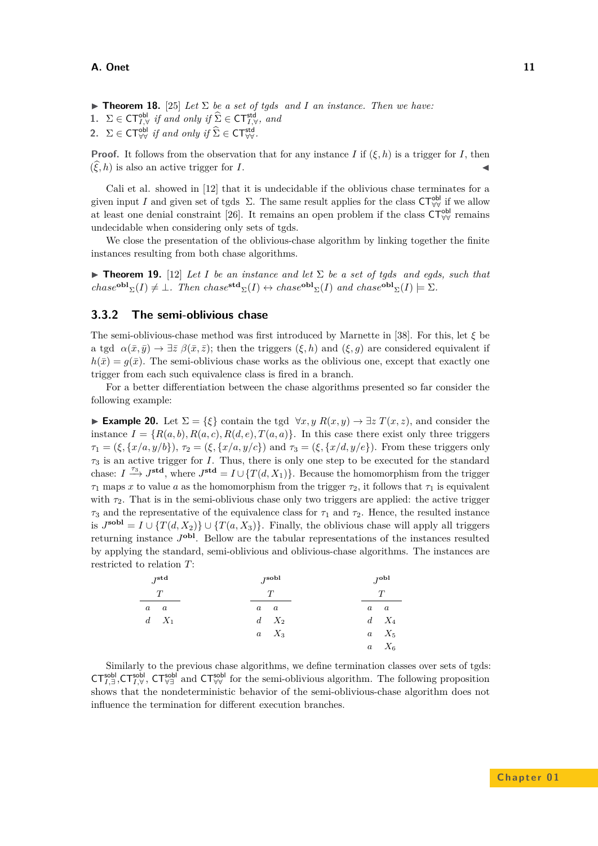- <span id="page-10-0"></span>**Findmer 18.** [\[25\]](#page-35-12) *Let*  $\Sigma$  *be a set of tgds and I an instance. Then we have:*
- **1.**  $\Sigma \in \mathsf{CT}_{I, \forall}^{\mathsf{obl}}$  if and only if  $\widehat{\Sigma} \in \mathsf{CT}_{I, \forall}^{\mathsf{std}}$ , and
- **2.**  $\Sigma \in \mathsf{CT}^{\mathsf{obl}}_{\forall \forall}$  *if and only if*  $\widehat{\Sigma} \in \mathsf{CT}^{\mathsf{std}}_{\forall \forall}$ .

**Proof.** It follows from the observation that for any instance *I* if  $(\xi, h)$  is a trigger for *I*, then  $(\xi, h)$  is also an active trigger for *I*.

Cali et al. showed in [\[12\]](#page-34-9) that it is undecidable if the oblivious chase terminates for a given input *I* and given set of tgds  $\Sigma$ . The same result applies for the class  $\mathsf{CT}_{\forall\forall}^{\mathsf{obl}}$  if we allow at least one denial constraint [\[26\]](#page-35-11). It remains an open problem if the class  $\mathsf{CT}_{\forall\forall}^{\mathsf{obl}}$  remains undecidable when considering only sets of tgds.

We close the presentation of the oblivious-chase algorithm by linking together the finite instances resulting from both chase algorithms.

**Theorem 19.** [\[12\]](#page-34-9) *Let I be an instance and let*  $\Sigma$  *be a set of tgds and egds, such that*  $chase^{\text{obl}}\Sigma(I) \neq \bot$ *. Then*  $chase^{\text{std}}\Sigma(I) \leftrightarrow chase^{\text{obl}}\Sigma(I)$  and  $chase^{\text{obl}}\Sigma(I) \models \Sigma$ *.* 

#### **3.3.2 The semi-oblivious chase**

The semi-oblivious-chase method was first introduced by Marnette in [\[38\]](#page-35-9). For this, let *ξ* be a tgd  $\alpha(\bar{x}, \bar{y}) \to \exists \bar{z} \; \beta(\bar{x}, \bar{z})$ ; then the triggers  $(\xi, h)$  and  $(\xi, g)$  are considered equivalent if  $h(\bar{x}) = q(\bar{x})$ . The semi-oblivious chase works as the oblivious one, except that exactly one trigger from each such equivalence class is fired in a branch.

For a better differentiation between the chase algorithms presented so far consider the following example:

**Example 20.** Let  $\Sigma = \{\xi\}$  contain the tgd  $\forall x, y \ R(x, y)$  →  $\exists z \ T(x, z)$ , and consider the instance  $I = \{R(a, b), R(a, c), R(d, e), T(a, a)\}\$ . In this case there exist only three triggers  $\tau_1 = (\xi, \{x/a, y/b\}), \tau_2 = (\xi, \{x/a, y/c\})$  and  $\tau_3 = (\xi, \{x/d, y/c\})$ . From these triggers only *τ*<sup>3</sup> is an active trigger for *I*. Thus, there is only one step to be executed for the standard chase:  $I \stackrel{\tau_3}{\longrightarrow} J^{\text{std}}$ , where  $J^{\text{std}} = I \cup \{T(d, X_1)\}\$ . Because the homomorphism from the trigger  $\tau_1$  maps *x* to value *a* as the homomorphism from the trigger  $\tau_2$ , it follows that  $\tau_1$  is equivalent with  $\tau_2$ . That is in the semi-oblivious chase only two triggers are applied: the active trigger  $\tau_3$  and the representative of the equivalence class for  $\tau_1$  and  $\tau_2$ . Hence, the resulted instance is  $J^{\text{sol}} = I \cup \{T(d, X_2)\} \cup \{T(a, X_3)\}.$  Finally, the oblivious chase will apply all triggers returning instance *J* **obl**. Bellow are the tabular representations of the instances resulted by applying the standard, semi-oblivious and oblivious-chase algorithms. The instances are restricted to relation *T*:

| $J^{\bf std}$ |               | $J^{\bf{sol}}$ | $J^{\mathbf{obl}}$ |  |  |
|---------------|---------------|----------------|--------------------|--|--|
|               | T             |                |                    |  |  |
| $a \quad a$   |               | $a \quad a$    | $a \quad a$        |  |  |
|               | $d \quad X_1$ | $d\quad X_2$   | $d \quad X_4$      |  |  |
|               |               | $a \quad X_3$  | $a \quad X_5$      |  |  |
|               |               |                | $a \quad X_6$      |  |  |

Similarly to the previous chase algorithms, we define termination classes over sets of tgds:  $CT_{I, \exists}^{\text{sol}}$ , $CT_{I, \forall}^{\text{sol}}$ ,  $CT_{\forall \exists}^{\text{sol}}$  and  $CT_{\forall \forall}^{\text{sol}}$  for the semi-oblivious algorithm. The following proposition shows that the nondeterministic behavior of the semi-oblivious-chase algorithm does not influence the termination for different execution branches.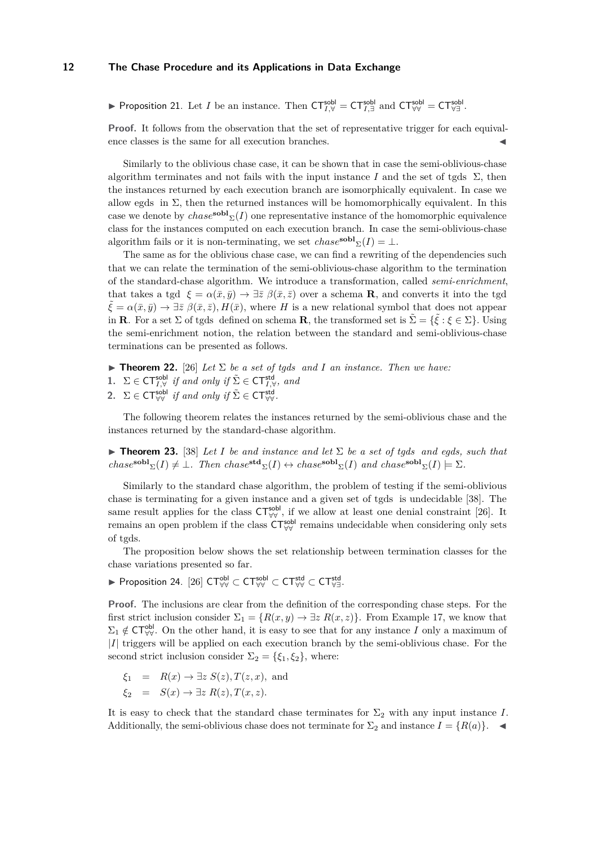**► Proposition 21.** Let *I* be an instance. Then  $CT_{I,\forall}^{\text{sol}} = CT_{I,\exists}^{\text{sol}}$  and  $CT_{\forall\forall}^{\text{sol}} = CT_{\forall\exists}^{\text{sol}}$ .

**Proof.** It follows from the observation that the set of representative trigger for each equivalence classes is the same for all execution branches.

Similarly to the oblivious chase case, it can be shown that in case the semi-oblivious-chase algorithm terminates and not fails with the input instance *I* and the set of tgds  $\Sigma$ , then the instances returned by each execution branch are isomorphically equivalent. In case we allow egds in  $\Sigma$ , then the returned instances will be homomorphically equivalent. In this case we denote by  $chase^{\textbf{sol}}(\mathcal{I})$  one representative instance of the homomorphic equivalence class for the instances computed on each execution branch. In case the semi-oblivious-chase algorithm fails or it is non-terminating, we set  $chase^{\textbf{sol}}\Sigma(I) = \bot$ .

The same as for the oblivious chase case, we can find a rewriting of the dependencies such that we can relate the termination of the semi-oblivious-chase algorithm to the termination of the standard-chase algorithm. We introduce a transformation, called *semi-enrichment*, that takes a tgd  $\xi = \alpha(\bar{x}, \bar{y}) \rightarrow \exists \bar{z} \ \beta(\bar{x}, \bar{z})$  over a schema **R**, and converts it into the tgd  $\bar{\xi} = \alpha(\bar{x}, \bar{y}) \rightarrow \exists \bar{z} \; \beta(\bar{x}, \bar{z}), H(\bar{x}),$  where *H* is a new relational symbol that does not appear in **R**. For a set  $\Sigma$  of tgds defined on schema **R**, the transformed set is  $\tilde{\Sigma} = {\tilde{\xi}} : \xi \in \Sigma$ }. Using the semi-enrichment notion, the relation between the standard and semi-oblivious-chase terminations can be presented as follows.

- <span id="page-11-0"></span>**Theorem 22.** [\[26\]](#page-35-11) *Let*  $\Sigma$  *be a set of tgds and I an instance. Then we have:*
- **1.**  $\Sigma \in \mathsf{CT}_{I, \forall}^{\mathsf{sold}}$  if and only if  $\tilde{\Sigma} \in \mathsf{CT}_{I, \forall}^{\mathsf{std}}$ , and
- **2.**  $\Sigma \in \mathsf{CT}^{\mathsf{sobl}}_{\forall \forall}$  *if and only if*  $\tilde{\Sigma} \in \mathsf{CT}^{\mathsf{std}}_{\forall \forall}$ .

The following theorem relates the instances returned by the semi-oblivious chase and the instances returned by the standard-chase algorithm.

**Theorem 23.** [\[38\]](#page-35-9) *Let I be and instance and let*  $\Sigma$  *be a set of tgds and egds, such that*  $chase^{\textbf{sol}}\Sigma(I) \neq \bot$ *. Then*  $chase^{\textbf{std}}\Sigma(I) \leftrightarrow chase^{\textbf{sol}}\Sigma(I)$  and  $chase^{\textbf{sol}}\Sigma(I) \models \Sigma$ *.* 

Similarly to the standard chase algorithm, the problem of testing if the semi-oblivious chase is terminating for a given instance and a given set of tgds is undecidable [\[38\]](#page-35-9). The same result applies for the class  $\mathsf{CT}_{\forall\forall}^{\mathsf{sol}}$ , if we allow at least one denial constraint [\[26\]](#page-35-11). It remains an open problem if the class  $\mathsf{CT}_{\forall\forall}^{\mathsf{solb}}$  remains undecidable when considering only sets of tgds.

The proposition below shows the set relationship between termination classes for the chase variations presented so far.

▶ Proposition 24.  $[26]$   $CT_{\forall\forall}^{\sf obl}$   $\subset$   $CT_{\forall\forall}^{\sf std}$   $\subset$   $CT_{\forall\exists}^{\sf std}$ .

**Proof.** The inclusions are clear from the definition of the corresponding chase steps. For the first strict inclusion consider  $\Sigma_1 = \{R(x, y) \to \exists z \; R(x, z)\}\.$  From Example [17,](#page-9-0) we know that  $\Sigma_1 \notin \mathsf{CT}_{\forall\forall}^{\mathsf{obl}}$ . On the other hand, it is easy to see that for any instance *I* only a maximum of |*I*| triggers will be applied on each execution branch by the semi-oblivious chase. For the second strict inclusion consider  $\Sigma_2 = {\xi_1, \xi_2}$ , where:

$$
\xi_1 = R(x) \to \exists z \ S(z), T(z, x), \text{ and}
$$
  

$$
\xi_2 = S(x) \to \exists z \ R(z), T(x, z).
$$

It is easy to check that the standard chase terminates for  $\Sigma_2$  with any input instance *I*. Additionally, the semi-oblivious chase does not terminate for  $\Sigma_2$  and instance  $I = \{R(a)\}\$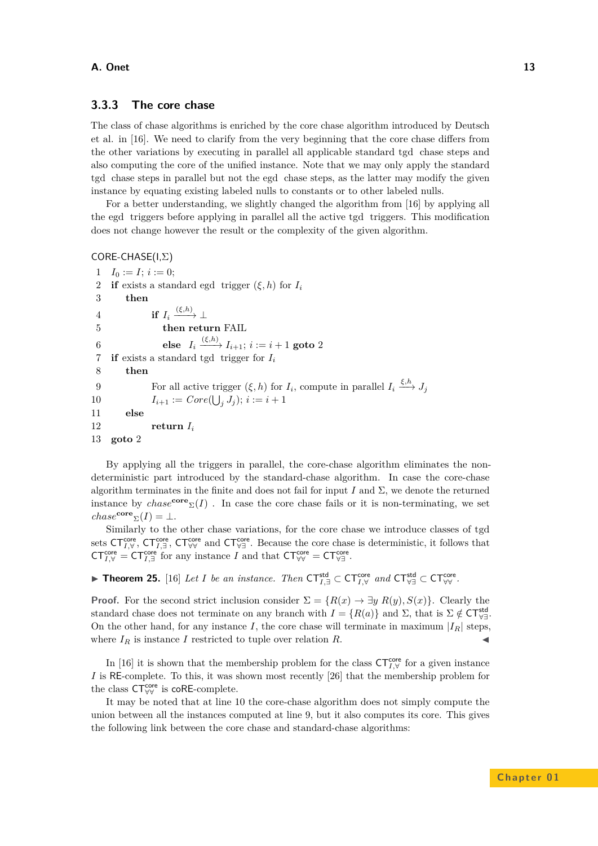## **3.3.3 The core chase**

The class of chase algorithms is enriched by the core chase algorithm introduced by Deutsch et al. in [\[16\]](#page-34-10). We need to clarify from the very beginning that the core chase differs from the other variations by executing in parallel all applicable standard tgd chase steps and also computing the core of the unified instance. Note that we may only apply the standard tgd chase steps in parallel but not the egd chase steps, as the latter may modify the given instance by equating existing labeled nulls to constants or to other labeled nulls.

For a better understanding, we slightly changed the algorithm from [\[16\]](#page-34-10) by applying all the egd triggers before applying in parallel all the active tgd triggers. This modification does not change however the result or the complexity of the given algorithm.

```
CORE-CHASE(I,Σ)
```

```
1 \quad I_0 := I; i := 0;2 if exists a standard egd trigger (\xi, h) for I_i3 then
 4 if I_i \xrightarrow{(\xi,h)} \perp5 then return FAIL
 6 else I_i \xrightarrow{(\xi,h)} I_{i+1}; i := i+1 goto 2
 7 if exists a standard tgd trigger for Ii
 8 then
 9 For all active trigger (\xi, h) for I_i, compute in parallel I_i \xrightarrow{\xi, h} J_j10 I_{i+1} := Core(\bigcup_j J_j); i := i + 111 else
12 return Ii
13 goto 2
```
By applying all the triggers in parallel, the core-chase algorithm eliminates the nondeterministic part introduced by the standard-chase algorithm. In case the core-chase algorithm terminates in the finite and does not fail for input *I* and  $\Sigma$ , we denote the returned instance by  $chase^{\text{core}}_{\Sigma}(I)$ . In case the core chase fails or it is non-terminating, we set  $chase^{\text{core}}\Sigma(I) = \bot.$ 

Similarly to the other chase variations, for the core chase we introduce classes of tgd sets  $\mathsf{CT}_{I,\forall}^{\mathsf{core}}, \mathsf{CT}_{I,\exists}^{\mathsf{core}}, \mathsf{CT}_{\forall\forall}^{\mathsf{core}}$  and  $\mathsf{CT}_{\forall\exists}^{\mathsf{core}}$ . Because the core chase is deterministic, it follows that  $CT_{I,\forall}^{\text{core}} = CT_{I,\exists}^{\text{core}}$  for any instance *I* and that  $CT_{\forall\forall}^{\text{core}} = CT_{\forall\exists}^{\text{core}}$ .

▶ Theorem 25. [\[16\]](#page-34-10) *Let I be an instance. Then*  $CT_{I,\exists}^{\mathsf{std}} \subset CT_{I,\forall}^{\mathsf{core}}$  *and*  $CT_{\forall\exists}^{\mathsf{std}} \subset CT_{\forall\forall}^{\mathsf{core}}$ .

**Proof.** For the second strict inclusion consider  $\Sigma = \{R(x) \to \exists y R(y), S(x)\}\.$  Clearly the standard chase does not terminate on any branch with  $I = \{R(a)\}\$ and  $\Sigma$ , that is  $\Sigma \notin \mathsf{CT}_{\forall \exists}^{\mathsf{std}}$ . On the other hand, for any instance *I*, the core chase will terminate in maximum  $|I_R|$  steps, where  $I_R$  is instance *I* restricted to tuple over relation  $R$ .

In [\[16\]](#page-34-10) it is shown that the membership problem for the class  $CT_{I,\forall}^{\text{core}}$  for a given instance *I* is RE-complete. To this, it was shown most recently [\[26\]](#page-35-11) that the membership problem for the class  $\mathsf{CT}^{\mathsf{core}}_{\forall\forall}$  is  $\mathsf{coRE\text{-}complete}.$ 

It may be noted that at line 10 the core-chase algorithm does not simply compute the union between all the instances computed at line 9, but it also computes its core. This gives the following link between the core chase and standard-chase algorithms: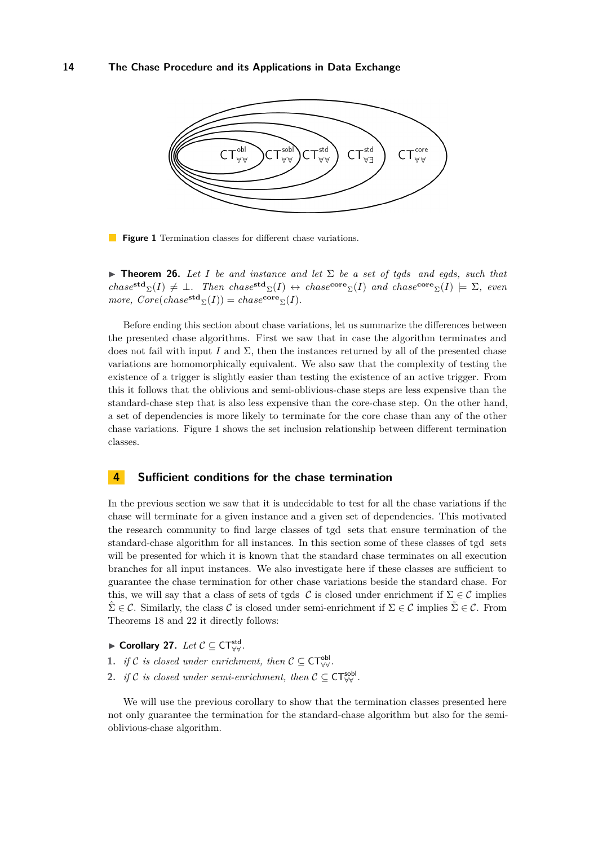<span id="page-13-1"></span>

**Figure 1** Termination classes for different chase variations.

**Findmergeright Theorem 26.** *Let I be and instance and let*  $\Sigma$  *be a set of tgds and egds, such that*  $chase^{\text{std}}\Sigma(I) \neq \bot$ *. Then*  $chase^{\text{std}}\Sigma(I) \leftrightarrow chase^{\text{core}}\Sigma(I)$  and  $chase^{\text{core}}\Sigma(I) \models \Sigma$ *, even*  $more, Core(chase^{std}(\Sigma(I))) = chase^{core}(\Sigma(I)).$ 

Before ending this section about chase variations, let us summarize the differences between the presented chase algorithms. First we saw that in case the algorithm terminates and does not fail with input *I* and  $\Sigma$ , then the instances returned by all of the presented chase variations are homomorphically equivalent. We also saw that the complexity of testing the existence of a trigger is slightly easier than testing the existence of an active trigger. From this it follows that the oblivious and semi-oblivious-chase steps are less expensive than the standard-chase step that is also less expensive than the core-chase step. On the other hand, a set of dependencies is more likely to terminate for the core chase than any of the other chase variations. Figure [1](#page-13-1) shows the set inclusion relationship between different termination classes.

## <span id="page-13-0"></span>**4 Sufficient conditions for the chase termination**

In the previous section we saw that it is undecidable to test for all the chase variations if the chase will terminate for a given instance and a given set of dependencies. This motivated the research community to find large classes of tgd sets that ensure termination of the standard-chase algorithm for all instances. In this section some of these classes of tgd sets will be presented for which it is known that the standard chase terminates on all execution branches for all input instances. We also investigate here if these classes are sufficient to guarantee the chase termination for other chase variations beside the standard chase. For this, we will say that a class of sets of tgds  $\mathcal C$  is closed under enrichment if  $\Sigma \in \mathcal C$  implies  $\hat{\Sigma} \in \mathcal{C}$ . Similarly, the class C is closed under semi-enrichment if  $\Sigma \in \mathcal{C}$  implies  $\hat{\Sigma} \in \mathcal{C}$ . From Theorems [18](#page-10-0) and [22](#page-11-0) it directly follows:

- <span id="page-13-2"></span>► Corollary 27.  $Let C \subseteq \mathsf{CT}^{\mathsf{std}}_{\forall\forall}$ .
- **1.** *if* C *is closed under enrichment, then*  $C \subseteq \mathsf{CT}_{\forall\forall}^{\mathsf{obl}}$ .
- 2. *if* C *is closed under semi-enrichment, then*  $C \subseteq \mathsf{CT}_{\forall\forall}^{\mathsf{sol}}$ .

We will use the previous corollary to show that the termination classes presented here not only guarantee the termination for the standard-chase algorithm but also for the semioblivious-chase algorithm.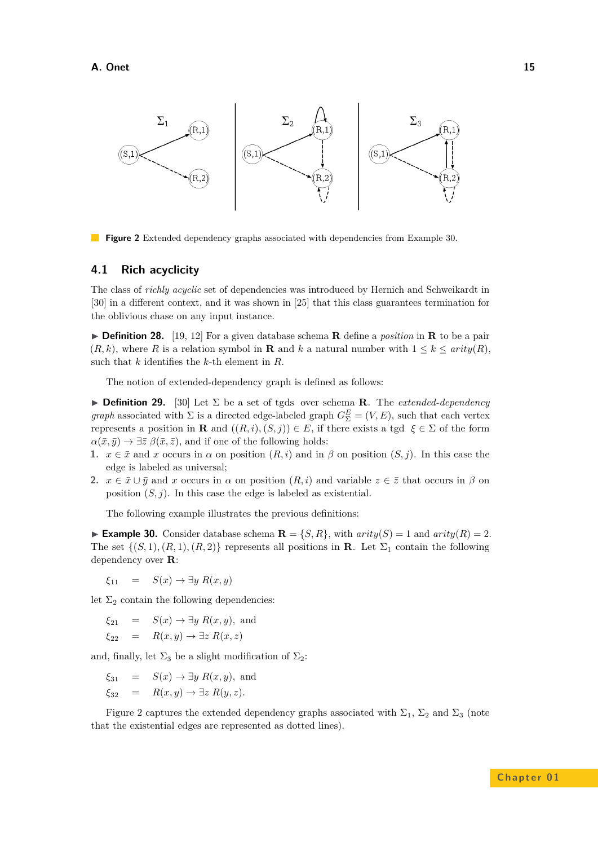<span id="page-14-1"></span>

**Figure 2** Extended dependency graphs associated with dependencies from Example [30.](#page-14-0)

#### **4.1 Rich acyclicity**

The class of *richly acyclic* set of dependencies was introduced by Hernich and Schweikardt in [\[30\]](#page-35-13) in a different context, and it was shown in [\[25\]](#page-35-12) that this class guarantees termination for the oblivious chase on any input instance.

 $\triangleright$  **Definition 28.** [\[19,](#page-35-6) [12\]](#page-34-9) For a given database schema **R** define a *position* in **R** to be a pair  $(R, k)$ , where *R* is a relation symbol in **R** and *k* a natural number with  $1 \leq k \leq \text{arity}(R)$ , such that *k* identifies the *k*-th element in *R*.

The notion of extended-dependency graph is defined as follows:

**Definition 29.** [\[30\]](#page-35-13) Let  $\Sigma$  be a set of tgds over schema **R**. The *extended-dependency graph* associated with  $\Sigma$  is a directed edge-labeled graph  $G_{\Sigma}^{E} = (V, E)$ , such that each vertex represents a position in **R** and  $((R, i), (S, j)) \in E$ , if there exists a tgd  $\xi \in \Sigma$  of the form  $\alpha(\bar{x}, \bar{y}) \rightarrow \exists \bar{z} \; \beta(\bar{x}, \bar{z})$ , and if one of the following holds:

- **1.**  $x \in \bar{x}$  and *x* occurs in *α* on position  $(R, i)$  and in *β* on position  $(S, j)$ . In this case the edge is labeled as universal;
- **2.**  $x \in \bar{x} \cup \bar{y}$  and *x* occurs in  $\alpha$  on position  $(R, i)$  and variable  $z \in \bar{z}$  that occurs in  $\beta$  on position  $(S, j)$ . In this case the edge is labeled as existential.

The following example illustrates the previous definitions:

<span id="page-14-0"></span>**Example 30.** Consider database schema  $\mathbf{R} = \{S, R\}$ , with  $arity(S) = 1$  and  $arity(R) = 2$ . The set  $\{(S, 1), (R, 1), (R, 2)\}\$  represents all positions in **R**. Let  $\Sigma_1$  contain the following dependency over **R**:

 $\xi_{11} = S(x) \rightarrow \exists y \; R(x,y)$ 

let  $\Sigma_2$  contain the following dependencies:

$$
\xi_{21} = S(x) \to \exists y \ R(x, y), \text{ and}
$$
  

$$
\xi_{22} = R(x, y) \to \exists z \ R(x, z)
$$

and, finally, let  $\Sigma_3$  be a slight modification of  $\Sigma_2$ :

$$
\xi_{31}
$$
 =  $S(x) \rightarrow \exists y R(x, y)$ , and

$$
\xi_{32} = R(x, y) \to \exists z R(y, z).
$$

Figure [2](#page-14-1) captures the extended dependency graphs associated with  $\Sigma_1$ ,  $\Sigma_2$  and  $\Sigma_3$  (note that the existential edges are represented as dotted lines).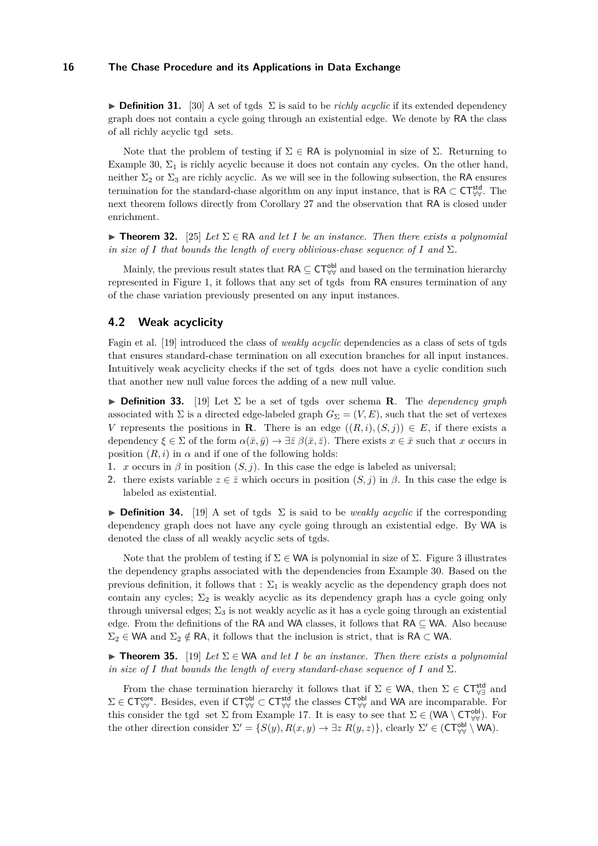**Definition 31.** [\[30\]](#page-35-13) A set of tgds  $\Sigma$  is said to be *richly acyclic* if its extended dependency graph does not contain a cycle going through an existential edge. We denote by RA the class of all richly acyclic tgd sets.

Note that the problem of testing if  $\Sigma \in \mathsf{RA}$  is polynomial in size of  $\Sigma$ . Returning to Example [30,](#page-14-0)  $\Sigma_1$  is richly acyclic because it does not contain any cycles. On the other hand, neither  $\Sigma_2$  or  $\Sigma_3$  are richly acyclic. As we will see in the following subsection, the RA ensures termination for the standard-chase algorithm on any input instance, that is RA  $\subset$  CT<sup>std</sup>. The next theorem follows directly from Corollary [27](#page-13-2) and the observation that RA is closed under enrichment.

**Find 12.** [\[25\]](#page-35-12) Let  $\Sigma \in \mathbb{R}$ A and let *I* be an instance. Then there exists a polynomial *in size of I* that bounds the length of every oblivious-chase sequence of *I* and  $\Sigma$ .

Mainly, the previous result states that  $\mathsf{RA} \subseteq \mathsf{CT}_{\forall\forall}^{\mathsf{obl}}$  and based on the termination hierarchy represented in Figure [1,](#page-13-1) it follows that any set of tgds from RA ensures termination of any of the chase variation previously presented on any input instances.

## **4.2 Weak acyclicity**

Fagin et al. [\[19\]](#page-35-6) introduced the class of *weakly acyclic* dependencies as a class of sets of tgds that ensures standard-chase termination on all execution branches for all input instances. Intuitively weak acyclicity checks if the set of tgds does not have a cyclic condition such that another new null value forces the adding of a new null value.

**Definition 33.** [\[19\]](#page-35-6) Let  $\Sigma$  be a set of tgds over schema **R**. The *dependency graph* associated with  $\Sigma$  is a directed edge-labeled graph  $G_{\Sigma} = (V, E)$ , such that the set of vertexes *V* represents the positions in **R**. There is an edge  $((R, i), (S, j)) \in E$ , if there exists a dependency  $\xi \in \Sigma$  of the form  $\alpha(\bar{x}, \bar{y}) \to \exists \bar{z} \beta(\bar{x}, \bar{z})$ . There exists  $x \in \bar{x}$  such that *x* occurs in position  $(R, i)$  in  $\alpha$  and if one of the following holds:

- **1.** *x* occurs in  $\beta$  in position  $(S, j)$ . In this case the edge is labeled as universal;
- **2.** there exists variable  $z \in \overline{z}$  which occurs in position  $(S, j)$  in  $\beta$ . In this case the edge is labeled as existential.

**Definition 34.** [\[19\]](#page-35-6) A set of tgds  $\Sigma$  is said to be *weakly acyclic* if the corresponding dependency graph does not have any cycle going through an existential edge. By WA is denoted the class of all weakly acyclic sets of tgds.

Note that the problem of testing if  $\Sigma \in W\mathsf{A}$  is polynomial in size of  $\Sigma$ . Figure [3](#page-16-0) illustrates the dependency graphs associated with the dependencies from Example [30.](#page-14-0) Based on the previous definition, it follows that :  $\Sigma_1$  is weakly acyclic as the dependency graph does not contain any cycles;  $\Sigma_2$  is weakly acyclic as its dependency graph has a cycle going only through universal edges;  $\Sigma_3$  is not weakly acyclic as it has a cycle going through an existential edge. From the definitions of the RA and WA classes, it follows that  $RA \subseteq WA$ . Also because  $\Sigma_2 \in W$ A and  $\Sigma_2 \notin R$ A, it follows that the inclusion is strict, that is RA  $\subset W$ A.

<span id="page-15-0"></span>**Figure 15.** [\[19\]](#page-35-6) Let  $\Sigma \in \mathsf{WA}$  and let I be an instance. Then there exists a polynomial *in size of I* that bounds the length of every standard-chase sequence of *I* and  $\Sigma$ .

From the chase termination hierarchy it follows that if  $\Sigma \in \mathsf{WA}$ , then  $\Sigma \in \mathsf{CT}^{\mathsf{std}}_{\forall \exists}$  and  $\Sigma \in \mathsf{CT}_{\forall\forall}^{\mathsf{core}}$ . Besides, even if  $\mathsf{CT}_{\forall\forall}^{\mathsf{obl}} \subset \mathsf{CT}_{\forall\forall}^{\mathsf{std}}$  the classes  $\mathsf{CT}_{\forall\forall}^{\mathsf{obl}}$  and WA are incomparable. For this consider the tgd set  $\Sigma$  from Example [17.](#page-9-0) It is easy to see that  $\Sigma \in (WA \setminus CT_{\forall\forall}^{\text{obl}})$ . For the other direction consider  $\Sigma' = \{S(y), R(x, y) \to \exists z \; R(y, z)\}$ , clearly  $\Sigma' \in (\mathsf{CT}_{\forall\forall}^{\mathsf{obl}} \setminus \mathsf{W}\mathsf{A})$ .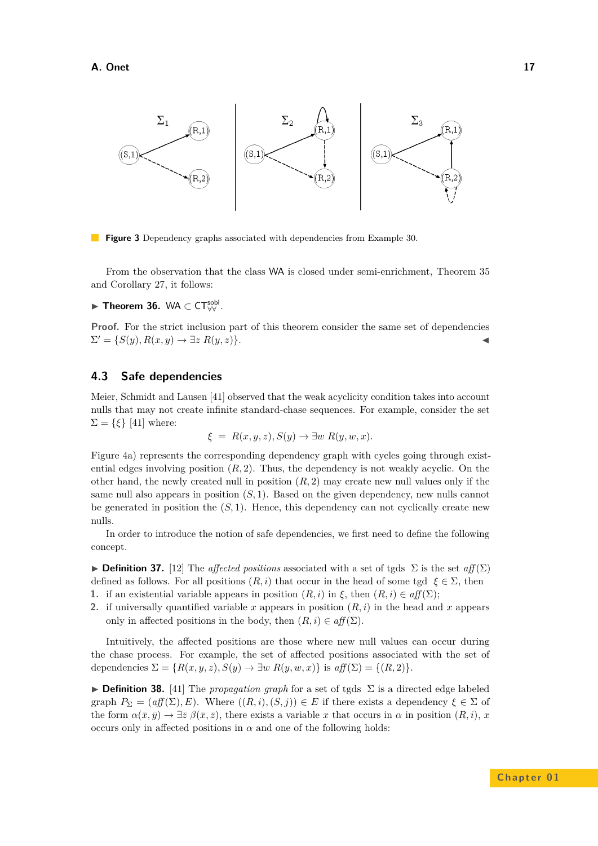<span id="page-16-0"></span>

**Figure 3** Dependency graphs associated with dependencies from Example [30.](#page-14-0)

From the observation that the class WA is closed under semi-enrichment, Theorem [35](#page-15-0) and Corollary [27,](#page-13-2) it follows:

► Theorem 36. WA  $\subset$  CT<sup>sobl</sup>.

**Proof.** For the strict inclusion part of this theorem consider the same set of dependencies  $\Sigma' = \{S(y), R(x, y) \to \exists z \; R(y, z)\}.$ 

## **4.3 Safe dependencies**

Meier, Schmidt and Lausen [\[41\]](#page-35-14) observed that the weak acyclicity condition takes into account nulls that may not create infinite standard-chase sequences. For example, consider the set  $\Sigma = \{\xi\}$  [\[41\]](#page-35-14) where:

$$
\xi = R(x, y, z), S(y) \to \exists w R(y, w, x).
$$

Figure [4a](#page-17-0)) represents the corresponding dependency graph with cycles going through existential edges involving position  $(R, 2)$ . Thus, the dependency is not weakly acyclic. On the other hand, the newly created null in position  $(R, 2)$  may create new null values only if the same null also appears in position  $(S, 1)$ . Based on the given dependency, new nulls cannot be generated in position the  $(S, 1)$ . Hence, this dependency can not cyclically create new nulls.

In order to introduce the notion of safe dependencies, we first need to define the following concept.

**► Definition 37.** [\[12\]](#page-34-9) The *affected positions* associated with a set of tgds  $\Sigma$  is the set *aff* ( $\Sigma$ ) defined as follows. For all positions  $(R, i)$  that occur in the head of some tgd  $\xi \in \Sigma$ , then **1.** if an existential variable appears in position  $(R, i)$  in  $\xi$ , then  $(R, i) \in aff(\Sigma)$ ;

**2.** if universally quantified variable *x* appears in position  $(R, i)$  in the head and *x* appears

only in affected positions in the body, then  $(R, i) \in aff(\Sigma)$ . Intuitively, the affected positions are those where new null values can occur during the chase process. For example, the set of affected positions associated with the set of

dependencies  $\Sigma = \{R(x, y, z), S(y) \to \exists w \; R(y, w, x)\}\$ is  $\partial f(\Sigma) = \{(R, 2)\}.$ 

**Definition 38.** [\[41\]](#page-35-14) The *propagation graph* for a set of tgds  $\Sigma$  is a directed edge labeled graph  $P_{\Sigma} = (af(\Sigma), E)$ . Where  $((R, i), (S, j)) \in E$  if there exists a dependency  $\xi \in \Sigma$  of the form  $\alpha(\bar{x}, \bar{y}) \to \exists \bar{z} \; \beta(\bar{x}, \bar{z})$ , there exists a variable *x* that occurs in  $\alpha$  in position  $(R, i)$ , *x* occurs only in affected positions in  $\alpha$  and one of the following holds: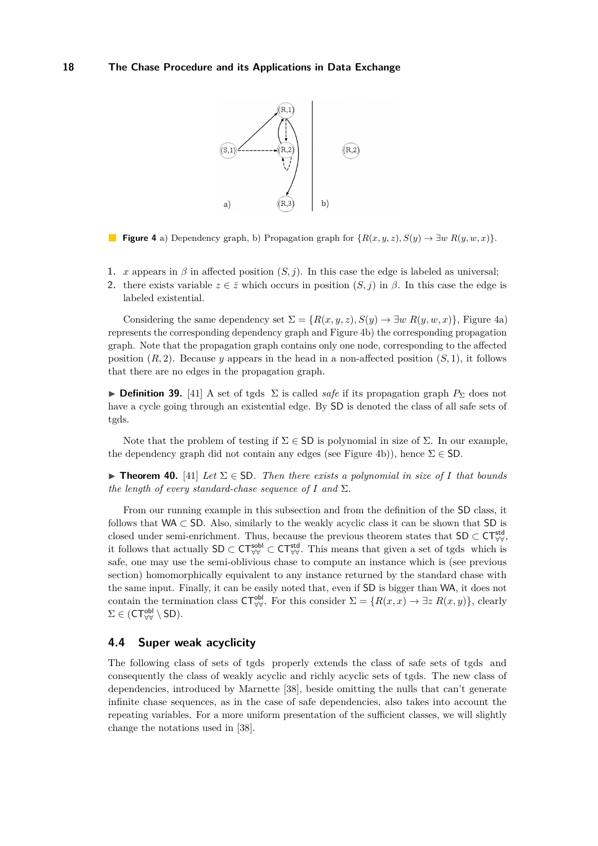<span id="page-17-0"></span>

**Figure 4** a) Dependency graph, b) Propagation graph for  $\{R(x, y, z), S(y) \to \exists w R(y, w, x)\}.$ 

- **1.** *x* appears in  $\beta$  in affected position  $(S, j)$ . In this case the edge is labeled as universal;
- **2.** there exists variable  $z \in \overline{z}$  which occurs in position  $(S, i)$  in  $\beta$ . In this case the edge is labeled existential.

Considering the same dependency set  $\Sigma = \{R(x, y, z), S(y) \to \exists w R(y, w, x)\}\,$  Figure [4a](#page-17-0)) represents the corresponding dependency graph and Figure [4b](#page-17-0)) the corresponding propagation graph. Note that the propagation graph contains only one node, corresponding to the affected position  $(R, 2)$ . Because *y* appears in the head in a non-affected position  $(S, 1)$ , it follows that there are no edges in the propagation graph.

**► Definition 39.** [\[41\]](#page-35-14) A set of tgds  $\Sigma$  is called *safe* if its propagation graph  $P_{\Sigma}$  does not have a cycle going through an existential edge. By SD is denoted the class of all safe sets of tgds.

Note that the problem of testing if  $\Sigma \in SD$  is polynomial in size of  $\Sigma$ . In our example, the dependency graph did not contain any edges (see Figure [4b](#page-17-0))), hence  $\Sigma \in$  SD.

**► Theorem 40.** [\[41\]](#page-35-14) *Let*  $\Sigma \in$  SD. *Then there exists a polynomial in size of I that bounds the length of every standard-chase sequence of*  $I$  *and*  $\Sigma$ *.* 

From our running example in this subsection and from the definition of the SD class, it follows that WA  $\subset$  SD. Also, similarly to the weakly acyclic class it can be shown that SD is closed under semi-enrichment. Thus, because the previous theorem states that  $SD \subset CT_{\forall\forall}^{\text{std}}$ it follows that actually  $SD \subset CT_{\forall\forall}^{\text{sol}} \subset CT_{\forall\forall}^{\text{std}}$ . This means that given a set of tgds which is safe, one may use the semi-oblivious chase to compute an instance which is (see previous section) homomorphically equivalent to any instance returned by the standard chase with the same input. Finally, it can be easily noted that, even if SD is bigger than WA, it does not contain the termination class  $\mathsf{CT}_{\forall\forall}^{\mathsf{obl}}$ . For this consider  $\Sigma = \{R(x, x) \to \exists z \; R(x, y)\}\,$ , clearly  $\Sigma \in ({\sf CT}_{\forall\forall}^{\sf obl} \setminus {\sf SD}).$ 

## **4.4 Super weak acyclicity**

The following class of sets of tgds properly extends the class of safe sets of tgds and consequently the class of weakly acyclic and richly acyclic sets of tgds. The new class of dependencies, introduced by Marnette [\[38\]](#page-35-9), beside omitting the nulls that can't generate infinite chase sequences, as in the case of safe dependencies, also takes into account the repeating variables. For a more uniform presentation of the sufficient classes, we will slightly change the notations used in [\[38\]](#page-35-9).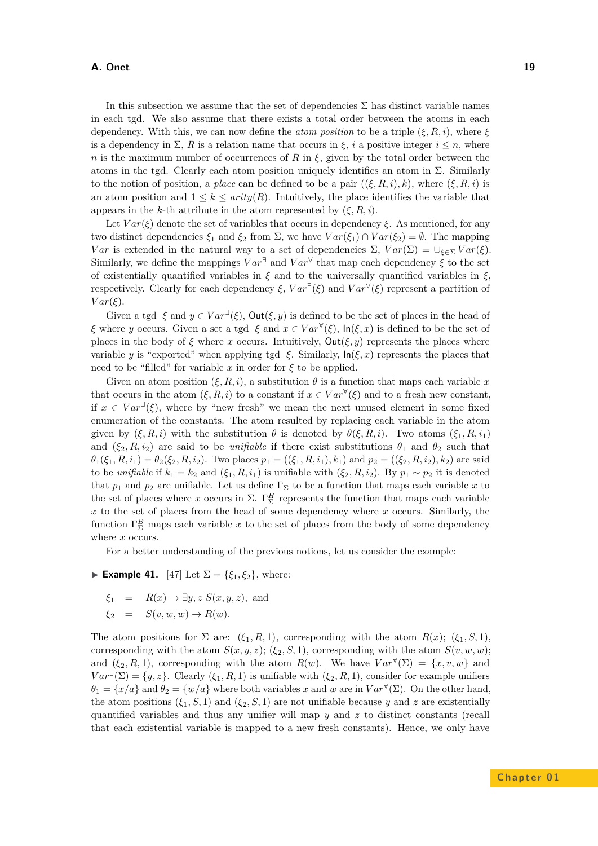In this subsection we assume that the set of dependencies  $\Sigma$  has distinct variable names in each tgd. We also assume that there exists a total order between the atoms in each dependency. With this, we can now define the *atom position* to be a triple  $(\xi, R, i)$ , where  $\xi$ is a dependency in  $\Sigma$ , *R* is a relation name that occurs in  $\xi$ , *i* a positive integer  $i \leq n$ , where *n* is the maximum number of occurrences of *R* in *ξ*, given by the total order between the atoms in the tgd. Clearly each atom position uniquely identifies an atom in  $\Sigma$ . Similarly to the notion of position, a *place* can be defined to be a pair  $((\xi, R, i), k)$ , where  $(\xi, R, i)$  is an atom position and  $1 \leq k \leq$  *arity*(*R*). Intuitively, the place identifies the variable that appears in the *k*-th attribute in the atom represented by  $(\xi, R, i)$ .

Let  $Var(\xi)$  denote the set of variables that occurs in dependency  $\xi$ . As mentioned, for any two distinct dependencies *ξ*<sup>1</sup> and *ξ*<sup>2</sup> from Σ, we have *V ar*(*ξ*1) ∩ *V ar*(*ξ*2) = ∅. The mapping *Var* is extended in the natural way to a set of dependencies  $\Sigma$ ,  $Var(\Sigma) = \bigcup_{\xi \in \Sigma} Var(\xi)$ . Similarly, we define the mappings  $Var^{\exists}$  and  $Var^{\forall}$  that map each dependency  $\xi$  to the set of existentially quantified variables in *ξ* and to the universally quantified variables in *ξ*, respectively. Clearly for each dependency  $\xi$ ,  $Var^{\exists}(\xi)$  and  $Var^{\forall}(\xi)$  represent a partition of *V ar*(*ξ*).

Given a tgd  $\xi$  and  $y \in Var^{\exists}(\xi)$ ,  $Out(\xi, y)$  is defined to be the set of places in the head of *ξ* where *y* occurs. Given a set a tgd *ξ* and  $x \in Var^{\forall}(\xi)$ ,  $\ln(\xi, x)$  is defined to be the set of places in the body of  $\xi$  where *x* occurs. Intuitively,  $Out(\xi, y)$  represents the places where variable *y* is "exported" when applying tgd  $\xi$ . Similarly,  $\ln(\xi, x)$  represents the places that need to be "filled" for variable  $x$  in order for  $\xi$  to be applied.

Given an atom position  $(\xi, R, i)$ , a substitution  $\theta$  is a function that maps each variable x that occurs in the atom  $(\xi, R, i)$  to a constant if  $x \in Var^{\forall}(\xi)$  and to a fresh new constant, if  $x \in Var^{\exists}(\xi)$ , where by "new fresh" we mean the next unused element in some fixed enumeration of the constants. The atom resulted by replacing each variable in the atom given by  $(\xi, R, i)$  with the substitution  $\theta$  is denoted by  $\theta(\xi, R, i)$ . Two atoms  $(\xi_1, R, i_1)$ and  $(\xi_2, R, i_2)$  are said to be *unifiable* if there exist substitutions  $\theta_1$  and  $\theta_2$  such that  $\theta_1(\xi_1, R, i_1) = \theta_2(\xi_2, R, i_2)$ . Two places  $p_1 = ((\xi_1, R, i_1), k_1)$  and  $p_2 = ((\xi_2, R, i_2), k_2)$  are said to be *unifiable* if  $k_1 = k_2$  and  $(\xi_1, R, i_1)$  is unifiable with  $(\xi_2, R, i_2)$ . By  $p_1 \sim p_2$  it is denoted that  $p_1$  and  $p_2$  are unifiable. Let us define  $\Gamma_{\Sigma}$  to be a function that maps each variable x to the set of places where *x* occurs in  $\Sigma$ .  $\Gamma_{\Sigma}^H$  represents the function that maps each variable *x* to the set of places from the head of some dependency where *x* occurs. Similarly, the function  $\Gamma_{\Sigma}^{B}$  maps each variable *x* to the set of places from the body of some dependency where *x* occurs.

For a better understanding of the previous notions, let us consider the example:

<span id="page-18-0"></span>► **Example 41.** [\[47\]](#page-36-5) Let  $\Sigma = \{\xi_1, \xi_2\}$ , where:

- $\xi_1 = R(x) \rightarrow \exists y, z \ S(x, y, z),$  and
- $\xi_2 = S(v, w, w) \rightarrow R(w)$ .

The atom positions for  $\Sigma$  are:  $(\xi_1, R, 1)$ , corresponding with the atom  $R(x)$ ;  $(\xi_1, S, 1)$ , corresponding with the atom  $S(x, y, z)$ ; ( $\xi_2, S, 1$ ), corresponding with the atom  $S(v, w, w)$ ; and  $(\xi_2, R, 1)$ , corresponding with the atom  $R(w)$ . We have  $Var^{\forall}(\Sigma) = \{x, v, w\}$  and  $Var^{\exists}(\Sigma) = \{y, z\}$ . Clearly  $(\xi_1, R, 1)$  is unifiable with  $(\xi_2, R, 1)$ , consider for example unifiers  $\theta_1 = \{x/a\}$  and  $\theta_2 = \{w/a\}$  where both variables *x* and *w* are in  $Var^{\forall}(\Sigma)$ . On the other hand, the atom positions  $(\xi_1, S, 1)$  and  $(\xi_2, S, 1)$  are not unifiable because *y* and *z* are existentially quantified variables and thus any unifier will map *y* and *z* to distinct constants (recall that each existential variable is mapped to a new fresh constants). Hence, we only have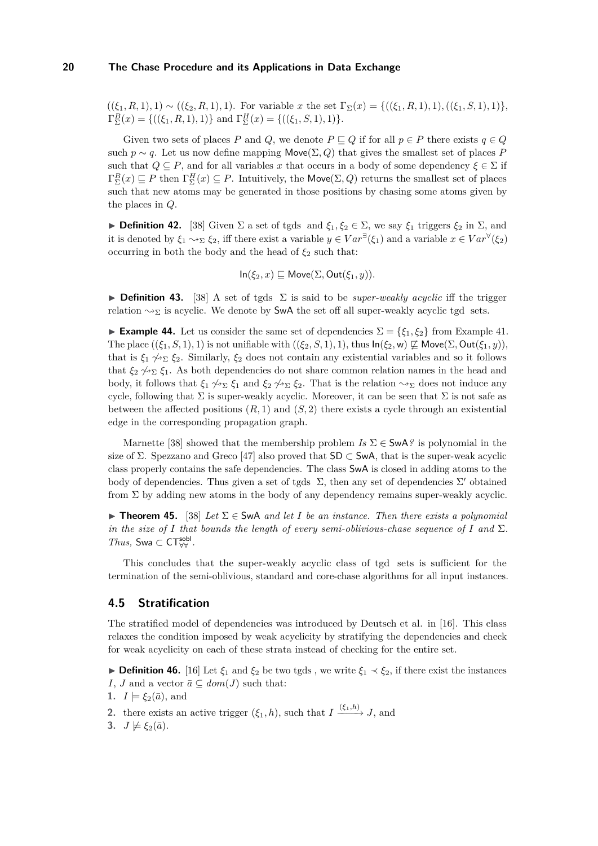$((\xi_1, R, 1), 1) \sim ((\xi_2, R, 1), 1)$ . For variable *x* the set  $\Gamma_{\Sigma}(x) = \{((\xi_1, R, 1), 1), ((\xi_1, S, 1), 1)\},\$  $\Gamma_{\Sigma}^{B}(x) = \{((\xi_1, R, 1), 1)\}\$ and  $\Gamma_{\Sigma}^{H}(x) = \{((\xi_1, S, 1), 1)\}.$ 

Given two sets of places *P* and *Q*, we denote  $P \sqsubset Q$  if for all  $p \in P$  there exists  $q \in Q$ such  $p \sim q$ . Let us now define mapping Move( $\Sigma, Q$ ) that gives the smallest set of places *P* such that  $Q \subseteq P$ , and for all variables x that occurs in a body of some dependency  $\xi \in \Sigma$  if  $\Gamma_{\Sigma}^{B}(x) \subseteq P$  then  $\Gamma_{\Sigma}^{H}(x) \subseteq P$ . Intuitively, the Move $(\Sigma, Q)$  returns the smallest set of places such that new atoms may be generated in those positions by chasing some atoms given by the places in *Q*.

**► Definition 42.** [\[38\]](#page-35-9) Given Σ a set of tgds and  $\xi_1, \xi_2 \in \Sigma$ , we say  $\xi_1$  triggers  $\xi_2$  in Σ, and it is denoted by  $\xi_1 \leadsto_{\Sigma} \xi_2$ , iff there exist a variable  $y \in Var^{\exists}(\xi_1)$  and a variable  $x \in Var^{\forall}(\xi_2)$ occurring in both the body and the head of  $\xi_2$  such that:

$$
\ln(\xi_2, x) \sqsubseteq \mathsf{Move}(\Sigma, \mathsf{Out}(\xi_1, y)).
$$

**Definition 43.** [\[38\]](#page-35-9) A set of tgds  $\Sigma$  is said to be *super-weakly acyclic* iff the trigger relation  $\rightsquigarrow$ <sub>Σ</sub> is acyclic. We denote by SwA the set off all super-weakly acyclic tgd sets.

**Example 44.** Let us consider the same set of dependencies  $\Sigma = \{\xi_1, \xi_2\}$  from Example [41.](#page-18-0) The place  $((\xi_1, S, 1), 1)$  is not unifiable with  $((\xi_2, S, 1), 1)$ , thus  $\ln(\xi_2, w) \not\sqsubseteq \text{Move}(\Sigma, \text{Out}(\xi_1, y)),$ that is  $\xi_1 \not\rightsquigarrow_{\Sigma} \xi_2$ . Similarly,  $\xi_2$  does not contain any existential variables and so it follows that  $\xi_2 \nsim \xi_1$ . As both dependencies do not share common relation names in the head and body, it follows that  $\xi_1 \not\rightsquigarrow_{\Sigma} \xi_1$  and  $\xi_2 \not\rightsquigarrow_{\Sigma} \xi_2$ . That is the relation  $\rightsquigarrow_{\Sigma}$  does not induce any cycle, following that  $\Sigma$  is super-weakly acyclic. Moreover, it can be seen that  $\Sigma$  is not safe as between the affected positions  $(R, 1)$  and  $(S, 2)$  there exists a cycle through an existential edge in the corresponding propagation graph.

Marnette [\[38\]](#page-35-9) showed that the membership problem  $Is \Sigma \in \mathsf{SwA}$ ? is polynomial in the size of  $\Sigma$ . Spezzano and Greco [\[47\]](#page-36-5) also proved that  $SD \subset SWA$ , that is the super-weak acyclic class properly contains the safe dependencies. The class SwA is closed in adding atoms to the body of dependencies. Thus given a set of tgds  $\Sigma$ , then any set of dependencies  $\Sigma'$  obtained from  $\Sigma$  by adding new atoms in the body of any dependency remains super-weakly acyclic.

**Figure 15.** [\[38\]](#page-35-9) Let  $\Sigma \in S_{\text{W}}$  and let *I* be an instance. Then there exists a polynomial *in the size of I that bounds the length of every semi-oblivious-chase sequence of I* and  $\Sigma$ *.*  $Thus, Swa \subset CT_{\forall\forall}^{\text{sol}}$ .

This concludes that the super-weakly acyclic class of tgd sets is sufficient for the termination of the semi-oblivious, standard and core-chase algorithms for all input instances.

## **4.5 Stratification**

The stratified model of dependencies was introduced by Deutsch et al. in [\[16\]](#page-34-10). This class relaxes the condition imposed by weak acyclicity by stratifying the dependencies and check for weak acyclicity on each of these strata instead of checking for the entire set.

**► Definition 46.** [\[16\]](#page-34-10) Let  $\xi_1$  and  $\xi_2$  be two tgds, we write  $\xi_1 \prec \xi_2$ , if there exist the instances *I*, *J* and a vector  $\bar{a} \subseteq dom(J)$  such that:

**1.**  $I \models \xi_2(\bar{a})$ , and

- **2.** there exists an active trigger  $(\xi_1, h)$ , such that  $I \xrightarrow{(\xi_1, h)} J$ , and
- **3.**  $J \not\models \xi_2(\bar{a})$ .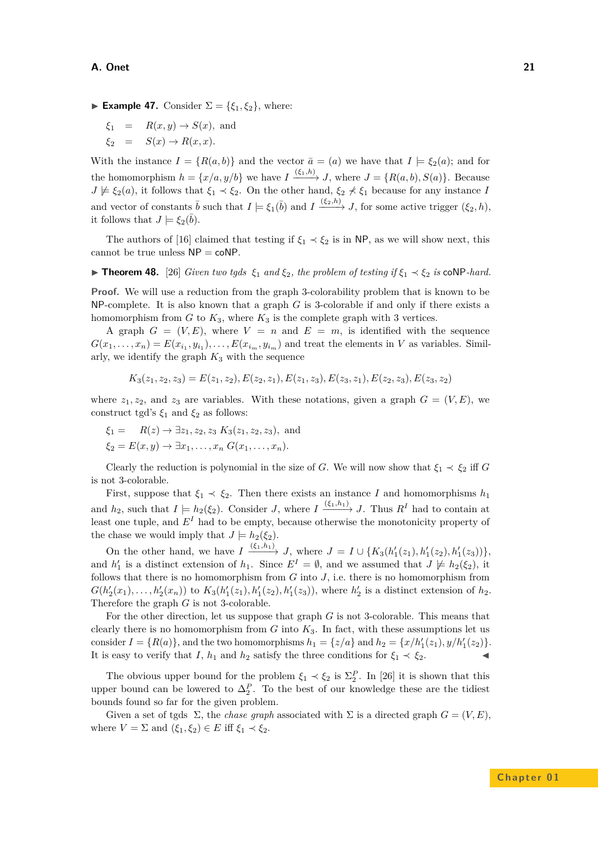- **► Example 47.** Consider  $\Sigma = \{\xi_1, \xi_2\}$ , where:
	- $\xi_1 = R(x, y) \rightarrow S(x)$ , and
	- $\xi_2 = S(x) \rightarrow R(x,x)$ .

With the instance  $I = \{R(a, b)\}\$ and the vector  $\bar{a} = (a)$  we have that  $I \models \xi_2(a)$ ; and for the homomorphism  $h = \{x/a, y/b\}$  we have  $I \xrightarrow{(\xi_1, h)} J$ , where  $J = \{R(a, b), S(a)\}$ . Because  $J \not\models \xi_2(a)$ , it follows that  $\xi_1 \prec \xi_2$ . On the other hand,  $\xi_2 \not\prec \xi_1$  because for any instance *I* and vector of constants  $\bar{b}$  such that  $I \models \xi_1(\bar{b})$  and  $I \xrightarrow{(\xi_2, h)} J$ , for some active trigger  $(\xi_2, h)$ , it follows that  $J \models \xi_2(\bar{b})$ .

The authors of [\[16\]](#page-34-10) claimed that testing if  $\xi_1 \prec \xi_2$  is in NP, as we will show next, this cannot be true unless  $NP = \text{coNP}$ .

<span id="page-20-0"></span>**► Theorem 48.** [\[26\]](#page-35-11) *Given two tgds*  $\xi_1$  *and*  $\xi_2$ *, the problem of testing if*  $\xi_1$   $\prec \xi_2$  *is* coNP*-hard.* 

**Proof.** We will use a reduction from the graph 3-colorability problem that is known to be NP-complete. It is also known that a graph *G* is 3-colorable if and only if there exists a homomorphism from  $G$  to  $K_3$ , where  $K_3$  is the complete graph with 3 vertices.

A graph  $G = (V, E)$ , where  $V = n$  and  $E = m$ , is identified with the sequence  $G(x_1, \ldots, x_n) = E(x_{i_1}, y_{i_1}), \ldots, E(x_{i_m}, y_{i_m})$  and treat the elements in *V* as variables. Similarly, we identify the graph *K*<sup>3</sup> with the sequence

$$
K_3(z_1, z_2, z_3) = E(z_1, z_2), E(z_2, z_1), E(z_1, z_3), E(z_3, z_1), E(z_2, z_3), E(z_3, z_2)
$$

where  $z_1, z_2$ , and  $z_3$  are variables. With these notations, given a graph  $G = (V, E)$ , we construct tgd's  $\xi_1$  and  $\xi_2$  as follows:

$$
\xi_1 = R(z) \to \exists z_1, z_2, z_3 \ K_3(z_1, z_2, z_3)
$$
, and  
\n $\xi_2 = E(x, y) \to \exists x_1, \dots, x_n \ G(x_1, \dots, x_n).$ 

Clearly the reduction is polynomial in the size of *G*. We will now show that  $\xi_1 \prec \xi_2$  iff *G* is not 3-colorable.

First, suppose that  $\xi_1 \prec \xi_2$ . Then there exists an instance *I* and homomorphisms  $h_1$ and  $h_2$ , such that  $I \models h_2(\xi_2)$ . Consider *J*, where  $I \xrightarrow{(\xi_1, h_1)} J$ . Thus  $R^I$  had to contain at least one tuple, and *E<sup>I</sup>* had to be empty, because otherwise the monotonicity property of the chase we would imply that  $J \models h_2(\xi_2)$ .

On the other hand, we have  $I \xrightarrow{(\xi_1, h_1)} J$ , where  $J = I \cup \{K_3(h'_1(z_1), h'_1(z_2), h'_1(z_3))\},\$ and  $h'_1$  is a distinct extension of  $h_1$ . Since  $E^I = \emptyset$ , and we assumed that  $J \not\models h_2(\xi_2)$ , it follows that there is no homomorphism from *G* into *J*, i.e. there is no homomorphism from  $G(h'_2(x_1),...,h'_2(x_n))$  to  $K_3(h'_1(z_1),h'_1(z_2),h'_1(z_3))$ , where  $h'_2$  is a distinct extension of  $h_2$ . Therefore the graph *G* is not 3-colorable.

For the other direction, let us suppose that graph *G* is not 3-colorable. This means that clearly there is no homomorphism from *G* into *K*3. In fact, with these assumptions let us consider  $I = \{R(a)\}$ , and the two homomorphisms  $h_1 = \{z/a\}$  and  $h_2 = \{x/h'_1(z_1), y/h'_1(z_2)\}.$ It is easy to verify that *I*,  $h_1$  and  $h_2$  satisfy the three conditions for  $\xi_1 \prec \xi_2$ .

The obvious upper bound for the problem  $\xi_1 \prec \xi_2$  is  $\Sigma_2^P$ . In [\[26\]](#page-35-11) it is shown that this upper bound can be lowered to  $\Delta_2^P$ . To the best of our knowledge these are the tidiest bounds found so far for the given problem.

Given a set of tgds  $\Sigma$ , the *chase graph* associated with  $\Sigma$  is a directed graph  $G = (V, E)$ , where  $V = \Sigma$  and  $(\xi_1, \xi_2) \in E$  iff  $\xi_1 \prec \xi_2$ .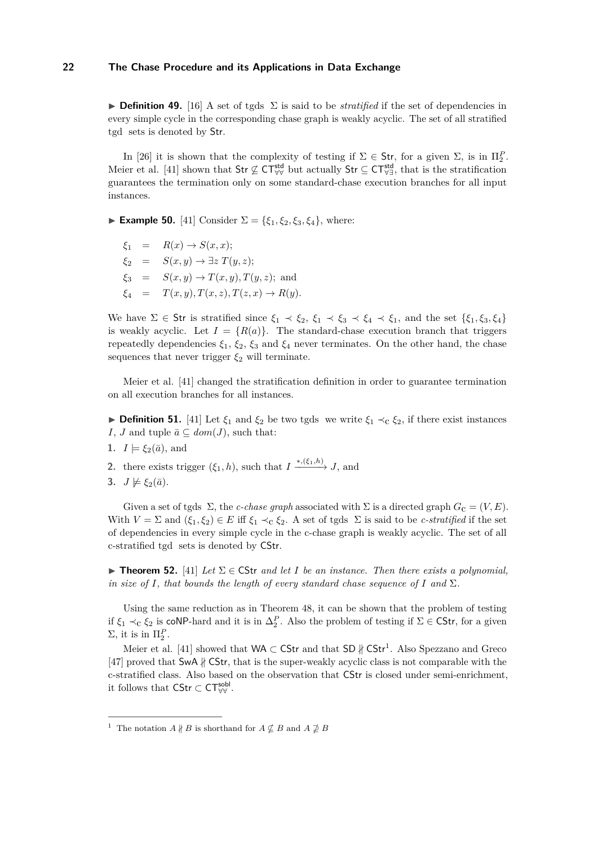**Definition 49.** [\[16\]](#page-34-10) A set of tgds  $\Sigma$  is said to be *stratified* if the set of dependencies in every simple cycle in the corresponding chase graph is weakly acyclic. The set of all stratified tgd sets is denoted by Str.

In [\[26\]](#page-35-11) it is shown that the complexity of testing if  $\Sigma \in \mathsf{Str}$ , for a given  $\Sigma$ , is in  $\Pi_2^P$ . Meier et al. [\[41\]](#page-35-14) shown that  $\text{Str} \not\subseteq \text{CT}_{\forall\forall}^{\text{std}}$  but actually  $\text{Str} \subseteq \text{CT}_{\forall\exists}^{\text{std}}$ , that is the stratification guarantees the termination only on some standard-chase execution branches for all input instances.

► **Example 50.** [\[41\]](#page-35-14) Consider  $\Sigma = {\xi_1, \xi_2, \xi_3, \xi_4}$ , where:

 $\xi_1 = R(x) \rightarrow S(x, x);$  $\xi_2 = S(x, y) \rightarrow \exists z T(y, z);$  $\xi_3 = S(x, y) \rightarrow T(x, y), T(y, z);$  and  $\xi_4 = T(x, y), T(x, z), T(z, x) \to R(y).$ 

We have  $\Sigma \in \mathsf{Str}$  is stratified since  $\xi_1 \prec \xi_2$ ,  $\xi_1 \prec \xi_3 \prec \xi_4 \prec \xi_1$ , and the set  $\{\xi_1, \xi_3, \xi_4\}$ is weakly acyclic. Let  $I = \{R(a)\}\$ . The standard-chase execution branch that triggers repeatedly dependencies  $\xi_1$ ,  $\xi_2$ ,  $\xi_3$  and  $\xi_4$  never terminates. On the other hand, the chase sequences that never trigger  $\xi_2$  will terminate.

Meier et al. [\[41\]](#page-35-14) changed the stratification definition in order to guarantee termination on all execution branches for all instances.

**► Definition 51.** [\[41\]](#page-35-14) Let  $\xi_1$  and  $\xi_2$  be two tgds we write  $\xi_1 \prec_c \xi_2$ , if there exist instances *I*, *J* and tuple  $\bar{a} \subseteq dom(J)$ , such that:

- **1.**  $I \models \xi_2(\bar{a})$ , and
- **2.** there exists trigger  $(\xi_1, h)$ , such that  $I \xrightarrow{*,(\xi_1, h)} J$ , and
- **3.**  $J \not\models \xi_2(\bar{a})$ .

Given a set of tgds  $\Sigma$ , the *c-chase graph* associated with  $\Sigma$  is a directed graph  $G_c = (V, E)$ . With  $V = \Sigma$  and  $(\xi_1, \xi_2) \in E$  iff  $\xi_1 \prec_c \xi_2$ . A set of tgds  $\Sigma$  is said to be *c-stratified* if the set of dependencies in every simple cycle in the c-chase graph is weakly acyclic. The set of all c-stratified tgd sets is denoted by CStr.

**Figure 152.** [\[41\]](#page-35-14) *Let*  $\Sigma \in \mathsf{CStr}$  *and let I be an instance. Then there exists a polynomial, in size of I, that bounds the length of every standard chase sequence of I* and  $\Sigma$ *.* 

Using the same reduction as in Theorem [48,](#page-20-0) it can be shown that the problem of testing if  $\xi_1 \prec_c \xi_2$  is coNP-hard and it is in  $\Delta_2^P$ . Also the problem of testing if  $\Sigma \in \mathsf{CStr}$ , for a given  $\Sigma$ , it is in  $\Pi_2^P$ .

Meier et al. [\[41\]](#page-35-14) showed that  $WA \subset \mathsf{CStr}$  and that  $SD \nparallel \mathsf{CStr}^1$  $SD \nparallel \mathsf{CStr}^1$ . Also Spezzano and Greco [\[47\]](#page-36-5) proved that SwA ∦ CStr, that is the super-weakly acyclic class is not comparable with the c-stratified class. Also based on the observation that CStr is closed under semi-enrichment, it follows that  $\mathsf{CStr} \subset \mathsf{CT}^\mathsf{sobl}_{\forall \forall}$ .

<span id="page-21-0"></span><sup>&</sup>lt;sup>1</sup> The notation  $A \nparallel B$  is shorthand for  $A \nsubseteq B$  and  $A \nsubseteq B$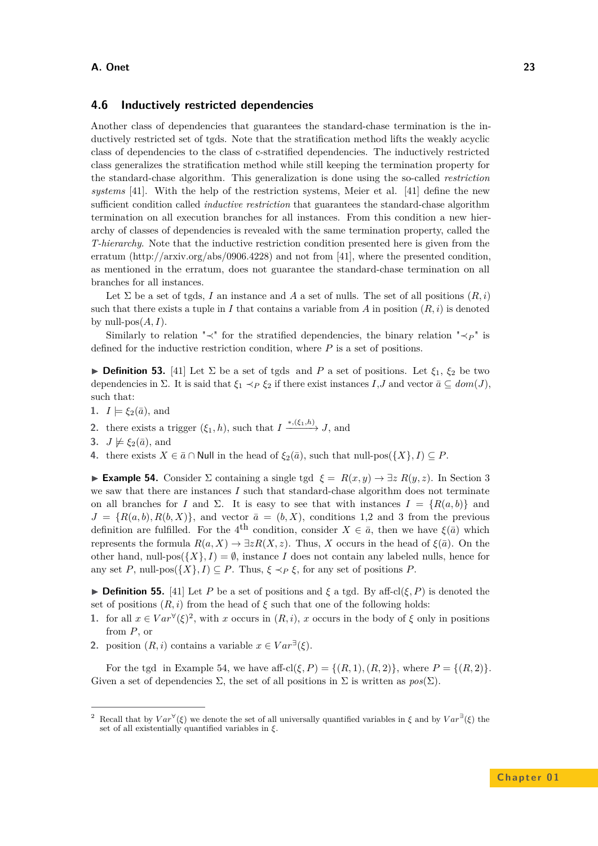#### **4.6 Inductively restricted dependencies**

Another class of dependencies that guarantees the standard-chase termination is the inductively restricted set of tgds. Note that the stratification method lifts the weakly acyclic class of dependencies to the class of c-stratified dependencies. The inductively restricted class generalizes the stratification method while still keeping the termination property for the standard-chase algorithm. This generalization is done using the so-called *restriction systems* [\[41\]](#page-35-14). With the help of the restriction systems, Meier et al. [\[41\]](#page-35-14) define the new sufficient condition called *inductive restriction* that guarantees the standard-chase algorithm termination on all execution branches for all instances. From this condition a new hierarchy of classes of dependencies is revealed with the same termination property, called the *T-hierarchy*. Note that the inductive restriction condition presented here is given from the erratum (http://arxiv.org/abs/0906.4228) and not from [\[41\]](#page-35-14), where the presented condition, as mentioned in the erratum, does not guarantee the standard-chase termination on all branches for all instances.

Let  $\Sigma$  be a set of tgds, *I* an instance and *A* a set of nulls. The set of all positions  $(R, i)$ such that there exists a tuple in *I* that contains a variable from *A* in position  $(R, i)$  is denoted by null- $pos(A, I)$ .

Similarly to relation " $\prec$ " for the stratified dependencies, the binary relation " $\prec P$ " is defined for the inductive restriction condition, where *P* is a set of positions.

**Definition 53.** [\[41\]](#page-35-14) Let  $\Sigma$  be a set of tgds and *P* a set of positions. Let  $\xi_1$ ,  $\xi_2$  be two dependencies in  $\Sigma$ . It is said that  $\xi_1 \prec_P \xi_2$  if there exist instances  $I, J$  and vector  $\bar{a} \subseteq dom(J)$ , such that:

- **1.**  $I \models \xi_2(\bar{a})$ , and
- **2.** there exists a trigger  $(\xi_1, h)$ , such that  $I \xrightarrow{*,(\xi_1, h)} J$ , and
- **3.**  $J \not\models \xi_2(\bar{a})$ , and
- **4.** there exists  $X \in \bar{a} \cap \text{Null}$  in the head of  $\xi_2(\bar{a})$ , such that null-pos( $\{X\}, I) \subseteq P$ .

<span id="page-22-1"></span>**Example 54.** Consider Σ containing a single tgd  $\xi = R(x, y)$  →  $\exists z R(y, z)$ . In Section [3](#page-2-0) we saw that there are instances *I* such that standard-chase algorithm does not terminate on all branches for *I* and  $\Sigma$ . It is easy to see that with instances  $I = \{R(a, b)\}\$  and  $J = \{R(a, b), R(b, X)\}\$ , and vector  $\bar{a} = (b, X)$ , conditions 1,2 and 3 from the previous definition are fulfilled. For the 4<sup>th</sup> condition, consider  $X \in \bar{a}$ , then we have  $\xi(\bar{a})$  which represents the formula  $R(a, X) \to \exists z R(X, z)$ . Thus, *X* occurs in the head of  $\xi(\bar{a})$ . On the other hand, null-pos( $\{X\}, I$ ) =  $\emptyset$ , instance *I* does not contain any labeled nulls, hence for any set *P*, null-pos $({X}, I) \subseteq P$ . Thus,  $\xi \prec_P \xi$ , for any set of positions *P*.

**Definition 55.** [\[41\]](#page-35-14) Let P be a set of positions and  $\xi$  a tgd. By aff-cl( $\xi$ , P) is denoted the set of positions  $(R, i)$  from the head of  $\xi$  such that one of the following holds:

- **1.** for all  $x \in Var^{\forall}(\xi)^2$  $x \in Var^{\forall}(\xi)^2$ , with *x* occurs in  $(R, i)$ , *x* occurs in the body of  $\xi$  only in positions from *P*, or
- **2.** position  $(R, i)$  contains a variable  $x \in Var^{\exists}(\xi)$ .

For the tgd in Example [54,](#page-22-1) we have aff-cl( $\xi$ ,  $P$ ) = {( $R$ , 1)*,*( $R$ , 2)}, where  $P = \{(R, 2)\}$ . Given a set of dependencies  $\Sigma$ , the set of all positions in  $\Sigma$  is written as  $pos(\Sigma)$ .

<span id="page-22-0"></span><sup>&</sup>lt;sup>2</sup> Recall that by  $Var^{\forall}(\xi)$  we denote the set of all universally quantified variables in  $\xi$  and by  $Var^{\exists}(\xi)$  the set of all existentially quantified variables in *ξ*.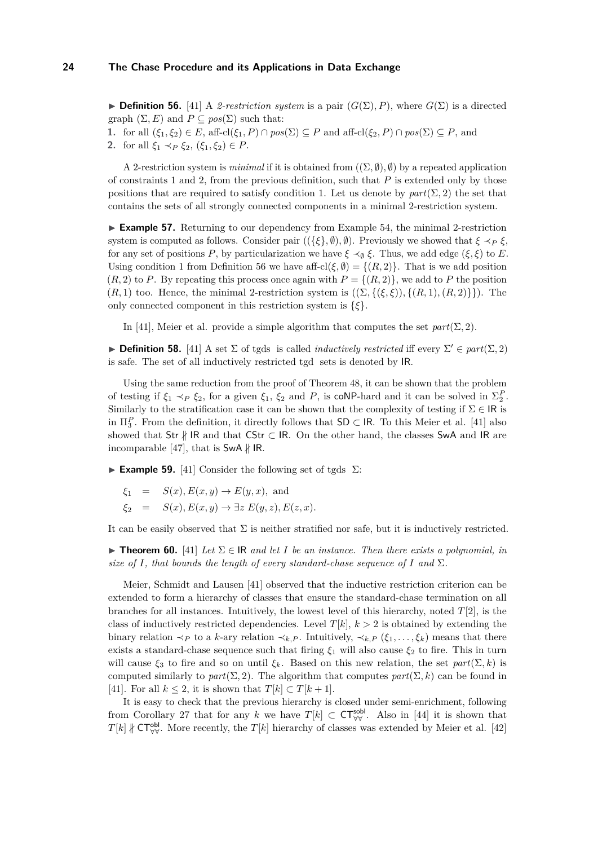<span id="page-23-0"></span> $\triangleright$  **Definition 56.** [\[41\]](#page-35-14) A *2-restriction system* is a pair  $(G(Σ), P)$ , where  $G(Σ)$  is a directed graph  $(\Sigma, E)$  and  $P \subseteq pos(\Sigma)$  such that:

**1.** for all  $(\xi_1, \xi_2) \in E$ , aff-cl $(\xi_1, P) \cap pos(\Sigma) \subseteq P$  and aff-cl $(\xi_2, P) \cap pos(\Sigma) \subseteq P$ , and

2. for all  $\xi_1 \prec_P \xi_2$ ,  $(\xi_1, \xi_2) \in P$ .

A 2-restriction system is *minimal* if it is obtained from  $((\Sigma, \emptyset), \emptyset)$  by a repeated application of constraints 1 and 2, from the previous definition, such that *P* is extended only by those positions that are required to satisfy condition 1. Let us denote by  $part(\Sigma, 2)$  the set that contains the sets of all strongly connected components in a minimal 2-restriction system.

► **Example 57.** Returning to our dependency from Example [54,](#page-22-1) the minimal 2-restriction system is computed as follows. Consider pair  $((\{\xi\}, \emptyset), \emptyset)$ . Previously we showed that  $\xi \prec_P \xi$ , for any set of positions *P*, by particularization we have  $\xi \prec_{\emptyset} \xi$ . Thus, we add edge ( $\xi, \xi$ ) to *E*. Using condition 1 from Definition [56](#page-23-0) we have aff-cl( $\xi, \emptyset$ ) = { $(R, 2)$ }. That is we add position  $(R, 2)$  to *P*. By repeating this process once again with  $P = \{(R, 2)\}\,$ , we add to *P* the position  $(R, 1)$  too. Hence, the minimal 2-restriction system is  $((\Sigma, \{(xi, \xi)), \{(R, 1), (R, 2)\})$ . The only connected component in this restriction system is {*ξ*}.

In [\[41\]](#page-35-14), Meier et al. provide a simple algorithm that computes the set  $part(\Sigma, 2)$ .

**Definition 58.** [\[41\]](#page-35-14) A set  $\Sigma$  of tgds is called *inductively restricted* iff every  $\Sigma' \in part(\Sigma, 2)$ is safe. The set of all inductively restricted tgd sets is denoted by IR.

Using the same reduction from the proof of Theorem [48,](#page-20-0) it can be shown that the problem of testing if  $\xi_1 \prec_P \xi_2$ , for a given  $\xi_1$ ,  $\xi_2$  and *P*, is coNP-hard and it can be solved in  $\Sigma_2^P$ . Similarly to the stratification case it can be shown that the complexity of testing if  $\Sigma \in \mathsf{IR}$  is in  $\Pi_3^P$ . From the definition, it directly follows that  $SD \subset IR$ . To this Meier et al. [\[41\]](#page-35-14) also showed that Str  $\frac{1}{k}$  IR and that CStr  $\subset$  IR. On the other hand, the classes SwA and IR are incomparable [\[47\]](#page-36-5), that is  $\mathsf{SwA} \nparallel \mathsf{IR}.$ 

**Example 59.** [\[41\]](#page-35-14) Consider the following set of tgds  $\Sigma$ :

 $\xi_1 = S(x), E(x, y) \rightarrow E(y, x)$ , and  $\xi_2 = S(x), E(x, y) \rightarrow \exists z E(y, z), E(z, x).$ 

It can be easily observed that  $\Sigma$  is neither stratified nor safe, but it is inductively restricted.

**► Theorem 60.** [\[41\]](#page-35-14) *Let*  $\Sigma \in \mathbb{R}$  *and let I be an instance. Then there exists a polynomial, in size of I, that bounds the length of every standard-chase sequence of I* and  $\Sigma$ *.* 

Meier, Schmidt and Lausen [\[41\]](#page-35-14) observed that the inductive restriction criterion can be extended to form a hierarchy of classes that ensure the standard-chase termination on all branches for all instances. Intuitively, the lowest level of this hierarchy, noted *T*[2], is the class of inductively restricted dependencies. Level  $T[k], k > 2$  is obtained by extending the binary relation  $\prec_P$  to a *k*-ary relation  $\prec_{k,P}$ . Intuitively,  $\prec_{k,P} (\xi_1,\ldots,\xi_k)$  means that there exists a standard-chase sequence such that firing  $\xi_1$  will also cause  $\xi_2$  to fire. This in turn will cause  $\xi_3$  to fire and so on until  $\xi_k$ . Based on this new relation, the set  $part(\Sigma, k)$  is computed similarly to  $part(\Sigma, 2)$ . The algorithm that computes  $part(\Sigma, k)$  can be found in [\[41\]](#page-35-14). For all  $k \leq 2$ , it is shown that  $T[k] \subset T[k+1]$ .

It is easy to check that the previous hierarchy is closed under semi-enrichment, following from Corollary [27](#page-13-2) that for any *k* we have  $T[k] \subset \mathsf{CT}^{\mathsf{sobl}}_{\forall \forall}$ . Also in [\[44\]](#page-36-6) it is shown that *T*[*k*] ∦ CT<sup>ob</sup>, More recently, the *T*[*k*] hierarchy of classes was extended by Meier et al. [\[42\]](#page-35-8)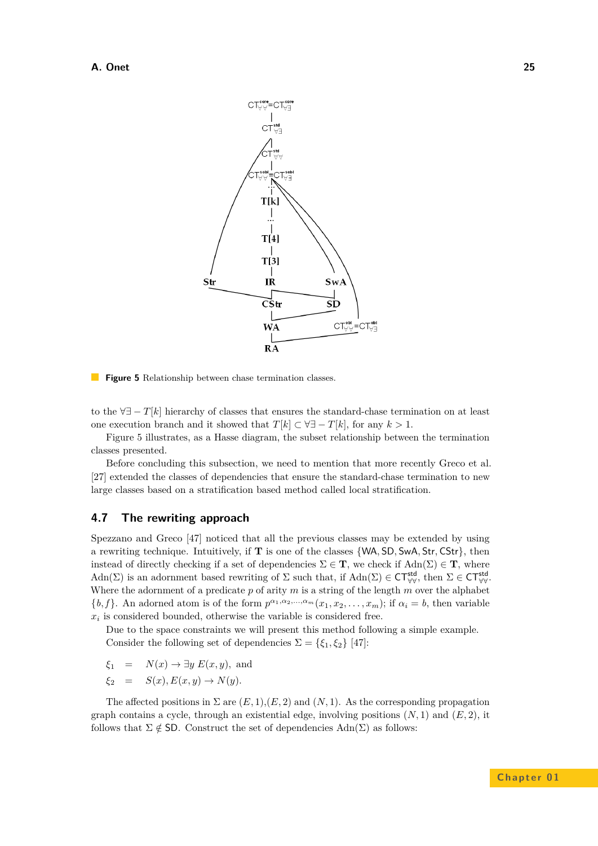<span id="page-24-0"></span>

**Figure 5** Relationship between chase termination classes.

to the ∀∃ − *T*[*k*] hierarchy of classes that ensures the standard-chase termination on at least one execution branch and it showed that  $T[k] \subset \forall \exists -T[k]$ , for any  $k > 1$ .

Figure [5](#page-24-0) illustrates, as a Hasse diagram, the subset relationship between the termination classes presented.

Before concluding this subsection, we need to mention that more recently Greco et al. [\[27\]](#page-35-15) extended the classes of dependencies that ensure the standard-chase termination to new large classes based on a stratification based method called local stratification.

# **4.7 The rewriting approach**

Spezzano and Greco [\[47\]](#page-36-5) noticed that all the previous classes may be extended by using a rewriting technique. Intuitively, if **T** is one of the classes {WA*,* SD*,* SwA*,* Str*,* CStr}, then instead of directly checking if a set of dependencies  $\Sigma \in \mathbf{T}$ , we check if  $\text{Adn}(\Sigma) \in \mathbf{T}$ , where  $\text{Adn}(\Sigma)$  is an adornment based rewriting of  $\Sigma$  such that, if  $\text{Adn}(\Sigma) \in \text{CT}^{\text{std}}_{\forall \forall}$ , then  $\Sigma \in \text{CT}^{\text{std}}_{\forall \forall}$ . Where the adornment of a predicate *p* of arity *m* is a string of the length *m* over the alphabet  $\{b, f\}$ . An adorned atom is of the form  $p^{\alpha_1, \alpha_2, ..., \alpha_m}(x_1, x_2, ..., x_m)$ ; if  $\alpha_i = b$ , then variable  $x_i$  is considered bounded, otherwise the variable is considered free.

Due to the space constraints we will present this method following a simple example. Consider the following set of dependencies  $\Sigma = {\xi_1, \xi_2}$  [\[47\]](#page-36-5):

$$
\xi_1 = N(x) \to \exists y E(x, y)
$$
, and

$$
\xi_2 = S(x), E(x, y) \to N(y).
$$

The affected positions in  $\Sigma$  are  $(E, 1), (E, 2)$  and  $(N, 1)$ . As the corresponding propagation graph contains a cycle, through an existential edge, involving positions  $(N, 1)$  and  $(E, 2)$ , it follows that  $\Sigma \notin$  SD. Construct the set of dependencies  $\text{Adn}(\Sigma)$  as follows: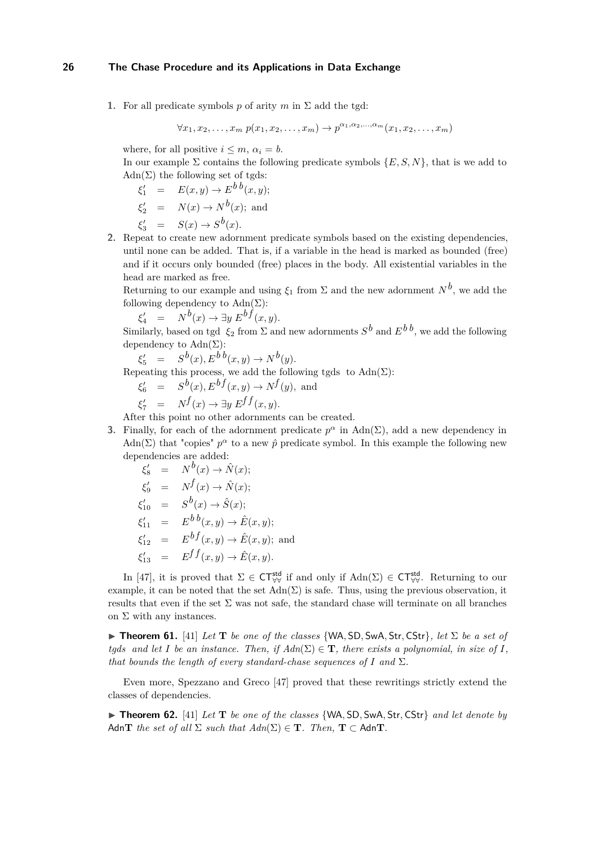**1.** For all predicate symbols *p* of arity *m* in  $\Sigma$  add the tgd:

$$
\forall x_1, x_2, \dots, x_m \ p(x_1, x_2, \dots, x_m) \rightarrow p^{\alpha_1, \alpha_2, \dots, \alpha_m}(x_1, x_2, \dots, x_m)
$$

where, for all positive  $i \leq m$ ,  $\alpha_i = b$ .

In our example  $\Sigma$  contains the following predicate symbols  $\{E, S, N\}$ , that is we add to  $Adn(\Sigma)$  the following set of tgds:

$$
\xi'_1 = E(x, y) \rightarrow E^b{}^b(x, y);
$$
  
\n
$$
\xi'_2 = N(x) \rightarrow N^b(x);
$$
 and  
\n
$$
\xi'_3 = S(x) \rightarrow S^b(x).
$$

**2.** Repeat to create new adornment predicate symbols based on the existing dependencies, until none can be added. That is, if a variable in the head is marked as bounded (free) and if it occurs only bounded (free) places in the body. All existential variables in the head are marked as free.

Returning to our example and using  $\xi_1$  from  $\Sigma$  and the new adornment  $N^b$ , we add the following dependency to  $\text{Adn}(\Sigma)$ :

 $\xi_4'$  =  $N^b(x) \rightarrow \exists y \ E^{bf}(x, y)$ .

Similarly, based on tgd  $\xi_2$  from  $\Sigma$  and new adornments  $S^b$  and  $E^{b\,b}$ , we add the following dependency to  $\text{Adn}(\Sigma)$ :

$$
\xi_5' = S^b(x), E^{b b}(x, y) \to N^b(y).
$$

Repeating this process, we add the following tgds to  $\text{Adn}(\Sigma)$ :

$$
\xi_6' = S^b(x), E^{bf}(x, y) \to N^f(y), \text{ and}
$$

$$
\xi_7' = N^f(x) \to \exists y \ E^{ff}(x, y).
$$

After this point no other adornments can be created.

**3.** Finally, for each of the adornment predicate  $p^{\alpha}$  in Adn( $\Sigma$ ), add a new dependency in Adn( $\Sigma$ ) that "copies"  $p^{\alpha}$  to a new  $\hat{p}$  predicate symbol. In this example the following new dependencies are added:

$$
\xi'_{8} = N^{b}(x) \rightarrow \hat{N}(x);
$$
  
\n
$$
\xi'_{9} = N^{f}(x) \rightarrow \hat{N}(x);
$$
  
\n
$$
\xi'_{10} = S^{b}(x) \rightarrow \hat{S}(x);
$$
  
\n
$$
\xi'_{11} = E^{b}b(x,y) \rightarrow \hat{E}(x,y);
$$
  
\n
$$
\xi'_{12} = E^{b}f(x,y) \rightarrow \hat{E}(x,y);
$$
and  
\n
$$
\xi'_{13} = E^{f}f(x,y) \rightarrow \hat{E}(x,y).
$$

In [\[47\]](#page-36-5), it is proved that  $\Sigma \in \mathsf{CT}^{\mathsf{std}}_{\forall \forall}$  if and only if  $\mathrm{Adn}(\Sigma) \in \mathsf{CT}^{\mathsf{std}}_{\forall \forall}$ . Returning to our example, it can be noted that the set  $\text{Adn}(\Sigma)$  is safe. Thus, using the previous observation, it results that even if the set  $\Sigma$  was not safe, the standard chase will terminate on all branches on  $\Sigma$  with any instances.

 $\triangleright$  **Theorem 61.** [\[41\]](#page-35-14) *Let* **T** *be one of the classes* {WA, SD, SwA, Str, CStr}, *let*  $\Sigma$  *be a set of tgds and let I be an instance. Then, if*  $Adn(\Sigma) \in \mathbf{T}$ *, there exists a polynomial, in size of I, that bounds the length of every standard-chase sequences of*  $I$  *and*  $\Sigma$ *.* 

Even more, Spezzano and Greco [\[47\]](#page-36-5) proved that these rewritings strictly extend the classes of dependencies.

▶ **Theorem 62.** [\[41\]](#page-35-14) *Let* **T** *be one of the classes* {WA, SD, SwA, Str, CStr} *and let denote by* Adn**T** *the set of all*  $\Sigma$  *such that*  $Adn(\Sigma) \in \mathbf{T}$ *. Then,*  $\mathbf{T} \subset Adn\mathbf{T}$ *.*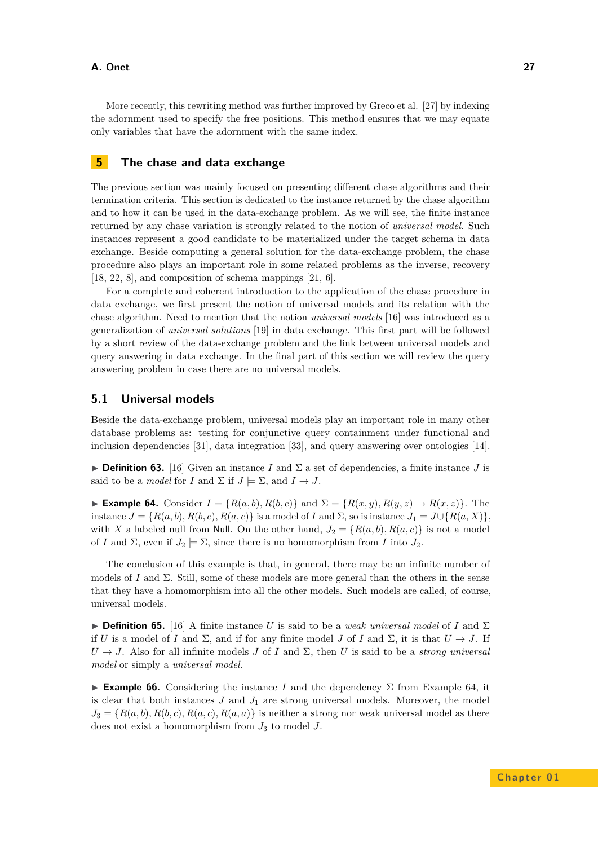More recently, this rewriting method was further improved by Greco et al. [\[27\]](#page-35-15) by indexing the adornment used to specify the free positions. This method ensures that we may equate only variables that have the adornment with the same index.

## <span id="page-26-0"></span>**5 The chase and data exchange**

The previous section was mainly focused on presenting different chase algorithms and their termination criteria. This section is dedicated to the instance returned by the chase algorithm and to how it can be used in the data-exchange problem. As we will see, the finite instance returned by any chase variation is strongly related to the notion of *universal model*. Such instances represent a good candidate to be materialized under the target schema in data exchange. Beside computing a general solution for the data-exchange problem, the chase procedure also plays an important role in some related problems as the inverse, recovery [\[18,](#page-35-16) [22,](#page-35-17) [8\]](#page-34-11), and composition of schema mappings [\[21,](#page-35-18) [6\]](#page-34-12).

For a complete and coherent introduction to the application of the chase procedure in data exchange, we first present the notion of universal models and its relation with the chase algorithm. Need to mention that the notion *universal models* [\[16\]](#page-34-10) was introduced as a generalization of *universal solutions* [\[19\]](#page-35-6) in data exchange. This first part will be followed by a short review of the data-exchange problem and the link between universal models and query answering in data exchange. In the final part of this section we will review the query answering problem in case there are no universal models.

## <span id="page-26-2"></span>**5.1 Universal models**

Beside the data-exchange problem, universal models play an important role in many other database problems as: testing for conjunctive query containment under functional and inclusion dependencies [\[31\]](#page-35-3), data integration [\[33\]](#page-35-4), and query answering over ontologies [\[14\]](#page-34-3).

**Definition 63.** [\[16\]](#page-34-10) Given an instance *I* and  $\Sigma$  a set of dependencies, a finite instance *J* is said to be a *model* for *I* and  $\Sigma$  if  $J \models \Sigma$ , and  $I \rightarrow J$ .

<span id="page-26-1"></span>► **Example 64.** Consider  $I = \{R(a, b), R(b, c)\}\$  and  $\Sigma = \{R(x, y), R(y, z) \rightarrow R(x, z)\}\$ . The instance  $J = \{R(a, b), R(b, c), R(a, c)\}\$ is a model of *I* and  $\Sigma$ , so is instance  $J_1 = J\cup \{R(a, X)\}\$ with *X* a labeled null from Null. On the other hand,  $J_2 = \{R(a, b), R(a, c)\}\$ is not a model of *I* and  $\Sigma$ , even if  $J_2 \models \Sigma$ , since there is no homomorphism from *I* into  $J_2$ .

The conclusion of this example is that, in general, there may be an infinite number of models of *I* and Σ. Still, some of these models are more general than the others in the sense that they have a homomorphism into all the other models. Such models are called, of course, universal models.

**Definition 65.** [\[16\]](#page-34-10) A finite instance *U* is said to be a *weak universal model* of *I* and  $\Sigma$ if *U* is a model of *I* and  $\Sigma$ , and if for any finite model *J* of *I* and  $\Sigma$ , it is that  $U \to J$ . If  $U \rightarrow J$ . Also for all infinite models *J* of *I* and  $\Sigma$ , then *U* is said to be a *strong universal model* or simply a *universal model*.

**Example 66.** Considering the instance *I* and the dependency  $\Sigma$  from Example [64,](#page-26-1) it is clear that both instances  $J$  and  $J_1$  are strong universal models. Moreover, the model  $J_3 = \{R(a, b), R(b, c), R(a, c), R(a, a)\}\$ is neither a strong nor weak universal model as there does not exist a homomorphism from  $J_3$  to model  $J$ .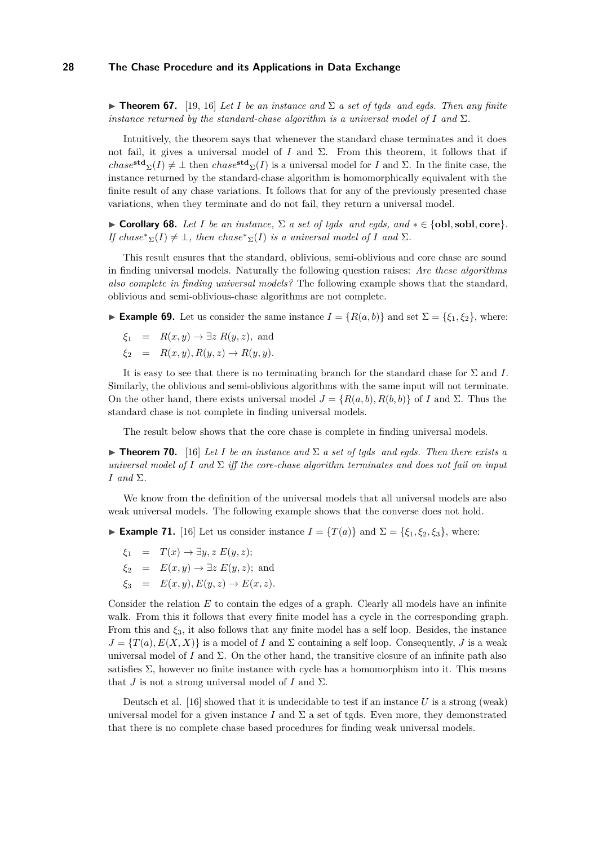**Figure 17. 10. Ignest** *Let I be an instance and*  $\Sigma$  *a set of tgds and egds. Then any finite instance returned by the standard-chase algorithm is a universal model of*  $I$  *and*  $\Sigma$ *.* 

Intuitively, the theorem says that whenever the standard chase terminates and it does not fail, it gives a universal model of *I* and  $\Sigma$ . From this theorem, it follows that if  $chase^{\text{std}}\Sigma(I) \neq \bot$  then  $chase^{\text{std}}\Sigma(I)$  is a universal model for *I* and  $\Sigma$ . In the finite case, the instance returned by the standard-chase algorithm is homomorphically equivalent with the finite result of any chase variations. It follows that for any of the previously presented chase variations, when they terminate and do not fail, they return a universal model.

 $\triangleright$  **Corollary 68.** *Let I be an instance*,  $\Sigma$  *a set of tgds and egds, and*  $\ast \in \{\text{obl}, \text{sole}, \text{core}\}.$ *If*  $\text{chase}^*_{\Sigma}(I) \neq \bot$ , then  $\text{chase}^*_{\Sigma}(I)$  *is a universal model of I* and  $\Sigma$ *.* 

This result ensures that the standard, oblivious, semi-oblivious and core chase are sound in finding universal models. Naturally the following question raises: *Are these algorithms also complete in finding universal models?* The following example shows that the standard, oblivious and semi-oblivious-chase algorithms are not complete.

► **Example 69.** Let us consider the same instance  $I = \{R(a, b)\}\$  and set  $\Sigma = \{\xi_1, \xi_2\}$ , where:

- $\xi_1 = R(x, y) \rightarrow \exists z R(y, z)$ , and
- $\xi_2 = R(x, y), R(y, z) \to R(y, y).$

It is easy to see that there is no terminating branch for the standard chase for Σ and *I*. Similarly, the oblivious and semi-oblivious algorithms with the same input will not terminate. On the other hand, there exists universal model  $J = \{R(a, b), R(b, b)\}\$  of *I* and Σ. Thus the standard chase is not complete in finding universal models.

The result below shows that the core chase is complete in finding universal models.

**Findmer 70.** [\[16\]](#page-34-10) *Let I be an instance and*  $\Sigma$  *a set of tgds and egds. Then there exists a universal model of I* and  $\Sigma$  *iff the core-chase algorithm terminates and does not fail on input I and* Σ*.*

We know from the definition of the universal models that all universal models are also weak universal models. The following example shows that the converse does not hold.

► **Example 71.** [\[16\]](#page-34-10) Let us consider instance  $I = \{T(a)\}\$  and  $\Sigma = \{\xi_1, \xi_2, \xi_3\}$ , where:

$$
\xi_1 = T(x) \to \exists y, z \ E(y, z);
$$

$$
\xi_2 = E(x, y) \to \exists z E(y, z);
$$
 and

$$
\xi_3 = E(x, y), E(y, z) \to E(x, z).
$$

Consider the relation *E* to contain the edges of a graph. Clearly all models have an infinite walk. From this it follows that every finite model has a cycle in the corresponding graph. From this and  $\xi_3$ , it also follows that any finite model has a self loop. Besides, the instance  $J = \{T(a), E(X, X)\}\$ is a model of *I* and  $\Sigma$  containing a self loop. Consequently, *J* is a weak universal model of *I* and  $\Sigma$ . On the other hand, the transitive closure of an infinite path also satisfies  $\Sigma$ , however no finite instance with cycle has a homomorphism into it. This means that *J* is not a strong universal model of *I* and  $\Sigma$ .

Deutsch et al. [\[16\]](#page-34-10) showed that it is undecidable to test if an instance *U* is a strong (weak) universal model for a given instance  $I$  and  $\Sigma$  a set of tgds. Even more, they demonstrated that there is no complete chase based procedures for finding weak universal models.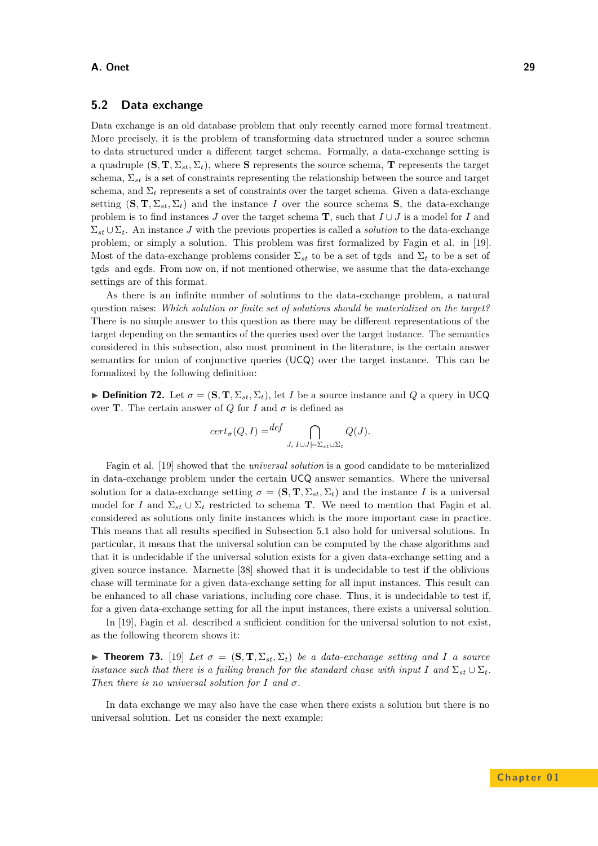## **5.2 Data exchange**

Data exchange is an old database problem that only recently earned more formal treatment. More precisely, it is the problem of transforming data structured under a source schema to data structured under a different target schema. Formally, a data-exchange setting is a quadruple  $(S, T, \Sigma_{st}, \Sigma_t)$ , where S represents the source schema, **T** represents the target schema, Σ*st* is a set of constraints representing the relationship between the source and target schema, and  $\Sigma_t$  represents a set of constraints over the target schema. Given a data-exchange setting  $(\mathbf{S}, \mathbf{T}, \Sigma_{st}, \Sigma_t)$  and the instance *I* over the source schema **S**, the data-exchange problem is to find instances *J* over the target schema **T**, such that  $I \cup J$  is a model for *I* and  $\Sigma_{st} \cup \Sigma_t$ . An instance *J* with the previous properties is called a *solution* to the data-exchange problem, or simply a solution. This problem was first formalized by Fagin et al. in [\[19\]](#page-35-6). Most of the data-exchange problems consider  $\Sigma_{st}$  to be a set of tgds and  $\Sigma_t$  to be a set of tgds and egds. From now on, if not mentioned otherwise, we assume that the data-exchange settings are of this format.

As there is an infinite number of solutions to the data-exchange problem, a natural question raises: *Which solution or finite set of solutions should be materialized on the target?* There is no simple answer to this question as there may be different representations of the target depending on the semantics of the queries used over the target instance. The semantics considered in this subsection, also most prominent in the literature, is the certain answer semantics for union of conjunctive queries (UCQ) over the target instance. This can be formalized by the following definition:

**Definition 72.** Let  $\sigma = (\mathbf{S}, \mathbf{T}, \Sigma_{st}, \Sigma_t)$ , let *I* be a source instance and *Q* a query in UCQ over **T**. The certain answer of *Q* for *I* and  $\sigma$  is defined as

$$
cert_{\sigma}(Q, I) = \bigoplus_{J, I \cup J \models \Sigma_{st} \cup \Sigma_t} Q(J).
$$

Fagin et al. [\[19\]](#page-35-6) showed that the *universal solution* is a good candidate to be materialized in data-exchange problem under the certain UCQ answer semantics. Where the universal solution for a data-exchange setting  $\sigma = (\mathbf{S}, \mathbf{T}, \Sigma_{st}, \Sigma_t)$  and the instance *I* is a universal model for *I* and  $\Sigma_{st} \cup \Sigma_t$  restricted to schema **T**. We need to mention that Fagin et al. considered as solutions only finite instances which is the more important case in practice. This means that all results specified in Subsection [5.1](#page-26-2) also hold for universal solutions. In particular, it means that the universal solution can be computed by the chase algorithms and that it is undecidable if the universal solution exists for a given data-exchange setting and a given source instance. Marnette [\[38\]](#page-35-9) showed that it is undecidable to test if the oblivious chase will terminate for a given data-exchange setting for all input instances. This result can be enhanced to all chase variations, including core chase. Thus, it is undecidable to test if, for a given data-exchange setting for all the input instances, there exists a universal solution.

In [\[19\]](#page-35-6), Fagin et al. described a sufficient condition for the universal solution to not exist, as the following theorem shows it:

**Find 1 Theorem 73.** [\[19\]](#page-35-6) Let  $\sigma = (\mathbf{S}, \mathbf{T}, \Sigma_{st}, \Sigma_t)$  be a data-exchange setting and I a source *instance such that there is a failing branch for the standard chase with input I* and  $\Sigma_{st} \cup \Sigma_t$ . *Then there is no universal solution for*  $I$  *and*  $\sigma$ *.* 

In data exchange we may also have the case when there exists a solution but there is no universal solution. Let us consider the next example: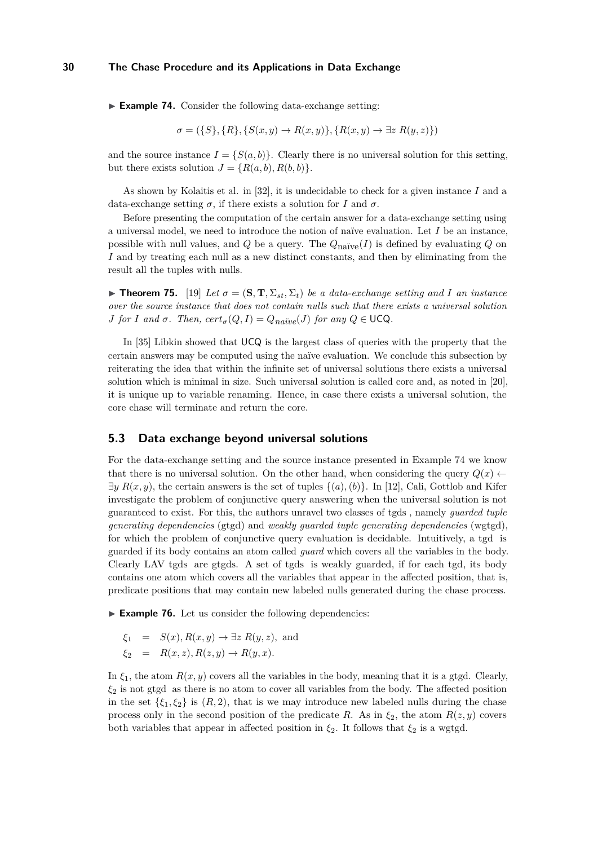<span id="page-29-0"></span>► **Example 74.** Consider the following data-exchange setting:

$$
\sigma = (\{S\}, \{R\}, \{S(x, y) \to R(x, y)\}, \{R(x, y) \to \exists z R(y, z)\})
$$

and the source instance  $I = \{S(a, b)\}\.$  Clearly there is no universal solution for this setting, but there exists solution  $J = \{R(a, b), R(b, b)\}.$ 

As shown by Kolaitis et al. in [\[32\]](#page-35-19), it is undecidable to check for a given instance *I* and a data-exchange setting  $\sigma$ , if there exists a solution for *I* and  $\sigma$ .

Before presenting the computation of the certain answer for a data-exchange setting using a universal model, we need to introduce the notion of naïve evaluation. Let *I* be an instance, possible with null values, and *Q* be a query. The  $Q_{\text{naïve}}(I)$  is defined by evaluating *Q* on *I* and by treating each null as a new distinct constants, and then by eliminating from the result all the tuples with nulls.

**Findment 75.** [\[19\]](#page-35-6) Let  $\sigma = (\mathbf{S}, \mathbf{T}, \Sigma_{st}, \Sigma_{t})$  be a data-exchange setting and *I* an instance *over the source instance that does not contain nulls such that there exists a universal solution J for I* and  $\sigma$ *. Then,*  $cert_{\sigma}(Q, I) = Q_{na\ddot{x}ve}(J)$  *for any*  $Q \in \text{UCQ}$ *.* 

In [\[35\]](#page-35-20) Libkin showed that UCQ is the largest class of queries with the property that the certain answers may be computed using the naïve evaluation. We conclude this subsection by reiterating the idea that within the infinite set of universal solutions there exists a universal solution which is minimal in size. Such universal solution is called core and, as noted in [\[20\]](#page-35-21), it is unique up to variable renaming. Hence, in case there exists a universal solution, the core chase will terminate and return the core.

#### **5.3 Data exchange beyond universal solutions**

For the data-exchange setting and the source instance presented in Example [74](#page-29-0) we know that there is no universal solution. On the other hand, when considering the query  $Q(x)$  $\exists y R(x, y)$ , the certain answers is the set of tuples  $\{(a), (b)\}$ . In [\[12\]](#page-34-9), Cali, Gottlob and Kifer investigate the problem of conjunctive query answering when the universal solution is not guaranteed to exist. For this, the authors unravel two classes of tgds , namely *guarded tuple generating dependencies* (gtgd) and *weakly guarded tuple generating dependencies* (wgtgd), for which the problem of conjunctive query evaluation is decidable. Intuitively, a tgd is guarded if its body contains an atom called *guard* which covers all the variables in the body. Clearly LAV tgds are gtgds. A set of tgds is weakly guarded, if for each tgd, its body contains one atom which covers all the variables that appear in the affected position, that is, predicate positions that may contain new labeled nulls generated during the chase process.

► **Example 76.** Let us consider the following dependencies:

$$
\xi_1 = S(x), R(x, y) \to \exists z R(y, z), \text{ and}
$$
  

$$
\xi_2 = R(x, z), R(z, y) \to R(y, x).
$$

In  $\xi_1$ , the atom  $R(x, y)$  covers all the variables in the body, meaning that it is a gtgd. Clearly, *ξ*<sup>2</sup> is not gtgd as there is no atom to cover all variables from the body. The affected position in the set  $\{\xi_1, \xi_2\}$  is  $(R, 2)$ , that is we may introduce new labeled nulls during the chase process only in the second position of the predicate *R*. As in  $\xi_2$ , the atom  $R(z, y)$  covers both variables that appear in affected position in  $\xi_2$ . It follows that  $\xi_2$  is a wgtgd.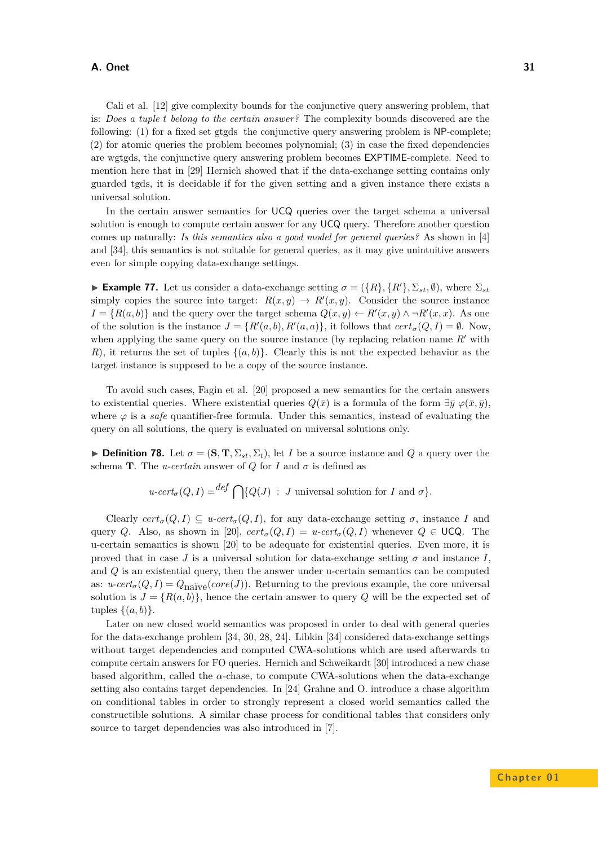Cali et al. [\[12\]](#page-34-9) give complexity bounds for the conjunctive query answering problem, that is: *Does a tuple t belong to the certain answer?* The complexity bounds discovered are the following: (1) for a fixed set gtgds the conjunctive query answering problem is NP-complete; (2) for atomic queries the problem becomes polynomial; (3) in case the fixed dependencies are wgtgds, the conjunctive query answering problem becomes EXPTIME-complete. Need to mention here that in [\[29\]](#page-35-22) Hernich showed that if the data-exchange setting contains only guarded tgds, it is decidable if for the given setting and a given instance there exists a universal solution.

In the certain answer semantics for UCQ queries over the target schema a universal solution is enough to compute certain answer for any UCQ query. Therefore another question comes up naturally: *Is this semantics also a good model for general queries?* As shown in [\[4\]](#page-34-13) and [\[34\]](#page-35-23), this semantics is not suitable for general queries, as it may give unintuitive answers even for simple copying data-exchange settings.

**Example 77.** Let us consider a data-exchange setting  $\sigma = (\{R\}, \{R'\}, \Sigma_{st}, \emptyset)$ , where  $\Sigma_{st}$ simply copies the source into target:  $R(x, y) \to R'(x, y)$ . Consider the source instance  $I = \{R(a, b)\}\$ and the query over the target schema  $Q(x, y) \leftarrow R'(x, y) \wedge \neg R'(x, x)$ . As one of the solution is the instance  $J = \{R'(a, b), R'(a, a)\}\$ , it follows that  $cert_{\sigma}(Q, I) = \emptyset$ . Now, when applying the same query on the source instance (by replacing relation name  $R'$  with *R*), it returns the set of tuples  $\{(a, b)\}\$ . Clearly this is not the expected behavior as the target instance is supposed to be a copy of the source instance.

To avoid such cases, Fagin et al. [\[20\]](#page-35-21) proposed a new semantics for the certain answers to existential queries. Where existential queries  $Q(\bar{x})$  is a formula of the form  $\exists \bar{y} \varphi(\bar{x}, \bar{y})$ . where  $\varphi$  is a *safe* quantifier-free formula. Under this semantics, instead of evaluating the query on all solutions, the query is evaluated on universal solutions only.

**Definition 78.** Let  $\sigma = (\mathbf{S}, \mathbf{T}, \Sigma_{st}, \Sigma_t)$ , let *I* be a source instance and *Q* a query over the schema **T**. The *u-certain* answer of *Q* for *I* and  $\sigma$  is defined as

$$
u\text{-}cert_{\sigma}(Q, I) = \text{def }\bigcap \{Q(J) : J \text{ universal solution for } I \text{ and } \sigma\}.
$$

Clearly  $cert_{\sigma}(Q, I) \subseteq u\text{-}cert_{\sigma}(Q, I)$ , for any data-exchange setting  $\sigma$ , instance *I* and query *Q*. Also, as shown in [\[20\]](#page-35-21),  $cert_{\sigma}(Q, I) = u\textrm{-}cert_{\sigma}(Q, I)$  whenever  $Q \in \text{UCQ}$ . The u-certain semantics is shown [\[20\]](#page-35-21) to be adequate for existential queries. Even more, it is proved that in case *J* is a universal solution for data-exchange setting  $\sigma$  and instance *I*. and *Q* is an existential query, then the answer under u-certain semantics can be computed as:  $u\text{-}cert_{\sigma}(Q, I) = Q_{\text{naïve}}(core(J))$ . Returning to the previous example, the core universal solution is  $J = \{R(a, b)\}\$ , hence the certain answer to query Q will be the expected set of tuples  $\{(a, b)\}.$ 

Later on new closed world semantics was proposed in order to deal with general queries for the data-exchange problem [\[34,](#page-35-23) [30,](#page-35-13) [28,](#page-35-24) [24\]](#page-35-10). Libkin [\[34\]](#page-35-23) considered data-exchange settings without target dependencies and computed CWA-solutions which are used afterwards to compute certain answers for FO queries. Hernich and Schweikardt [\[30\]](#page-35-13) introduced a new chase based algorithm, called the  $\alpha$ -chase, to compute CWA-solutions when the data-exchange setting also contains target dependencies. In [\[24\]](#page-35-10) Grahne and O. introduce a chase algorithm on conditional tables in order to strongly represent a closed world semantics called the constructible solutions. A similar chase process for conditional tables that considers only source to target dependencies was also introduced in [\[7\]](#page-34-14).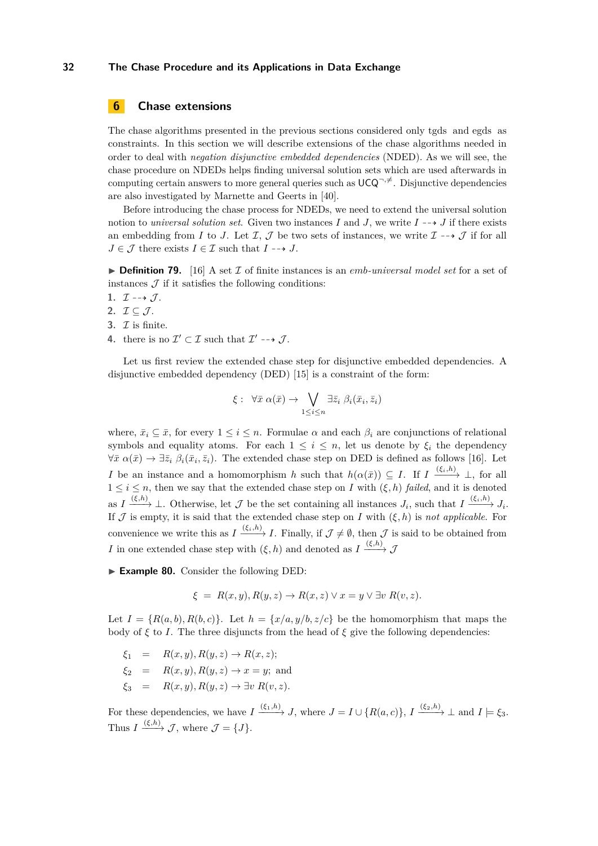## <span id="page-31-0"></span>**6 Chase extensions**

The chase algorithms presented in the previous sections considered only tgds and egds as constraints. In this section we will describe extensions of the chase algorithms needed in order to deal with *negation disjunctive embedded dependencies* (NDED). As we will see, the chase procedure on NDEDs helps finding universal solution sets which are used afterwards in computing certain answers to more general queries such as  $UCQ^{-, \neq}$ . Disjunctive dependencies are also investigated by Marnette and Geerts in [\[40\]](#page-35-25).

Before introducing the chase process for NDEDs, we need to extend the universal solution notion to *universal solution set*. Given two instances *I* and *J*, we write  $I \rightarrow J$  if there exists an embedding from *I* to *J*. Let  $I$ ,  $J$  be two sets of instances, we write  $I \rightarrow J$  if for all  $J \in \mathcal{J}$  there exists  $I \in \mathcal{I}$  such that  $I \dashrightarrow J$ .

 $\triangleright$  **Definition 79.** [\[16\]](#page-34-10) A set  $\mathcal{I}$  of finite instances is an *emb*-universal model set for a set of instances  $\mathcal J$  if it satisfies the following conditions:

- 1.  $\mathcal{I} \dashrightarrow \mathcal{J}$ .
- 2.  $\mathcal{I} \subseteq \mathcal{J}$ .
- **3.**  $\mathcal{I}$  is finite.
- **4.** there is no  $\mathcal{I}' \subset \mathcal{I}$  such that  $\mathcal{I}' \dashrightarrow \mathcal{J}$ .

Let us first review the extended chase step for disjunctive embedded dependencies. A disjunctive embedded dependency (DED) [\[15\]](#page-34-15) is a constraint of the form:

$$
\xi: \ \forall \bar{x} \; \alpha(\bar{x}) \rightarrow \bigvee_{1 \leq i \leq n} \exists \bar{z}_i \; \beta_i(\bar{x}_i, \bar{z}_i)
$$

where,  $\bar{x}_i \subseteq \bar{x}$ , for every  $1 \leq i \leq n$ . Formulae  $\alpha$  and each  $\beta_i$  are conjunctions of relational symbols and equality atoms. For each  $1 \leq i \leq n$ , let us denote by  $\xi_i$  the dependency  $\forall \bar{x} \alpha(\bar{x}) \rightarrow \exists \bar{z}_i \ \beta_i(\bar{x}_i, \bar{z}_i)$ . The extended chase step on DED is defined as follows [\[16\]](#page-34-10). Let *I* be an instance and a homomorphism *h* such that  $h(\alpha(\bar{x})) \subseteq I$ . If  $I \xrightarrow{(\xi_i, h)} \bot$ , for all  $1 \leq i \leq n$ , then we say that the extended chase step on *I* with  $(\xi, h)$  *failed*, and it is denoted as  $I \xrightarrow{(\xi,h)} \bot$ . Otherwise, let  $\mathcal{J}$  be the set containing all instances  $J_i$ , such that  $I \xrightarrow{(\xi_i,h)} J_i$ . If  $\mathcal J$  is empty, it is said that the extended chase step on *I* with  $(\xi, h)$  is *not applicable*. For convenience we write this as  $I \xrightarrow{(\xi_i, h)} I$ . Finally, if  $\mathcal{J} \neq \emptyset$ , then  $\mathcal{J}$  is said to be obtained from *I* in one extended chase step with  $(\xi, h)$  and denoted as  $I \xrightarrow{(\xi, h)} \mathcal{J}$ 

► **Example 80.** Consider the following DED:

$$
\xi = R(x, y), R(y, z) \rightarrow R(x, z) \vee x = y \vee \exists v R(v, z).
$$

Let  $I = \{R(a, b), R(b, c)\}\$ . Let  $h = \{x/a, y/b, z/c\}$  be the homomorphism that maps the body of  $\xi$  to *I*. The three disjuncts from the head of  $\xi$  give the following dependencies:

- $\xi_1 = R(x, y), R(y, z) \to R(x, z);$
- $\xi_2 = R(x, y), R(y, z) \rightarrow x = y$ ; and
- $\xi_3 = R(x, y), R(y, z) \rightarrow \exists v R(v, z).$

For these dependencies, we have  $I \xrightarrow{(\xi_1,h)} J$ , where  $J = I \cup \{R(a,c)\}, I \xrightarrow{(\xi_2,h)} \bot$  and  $I \models \xi_3$ . Thus  $I \xrightarrow{(\xi,h)} \mathcal{J}$ , where  $\mathcal{J} = \{J\}.$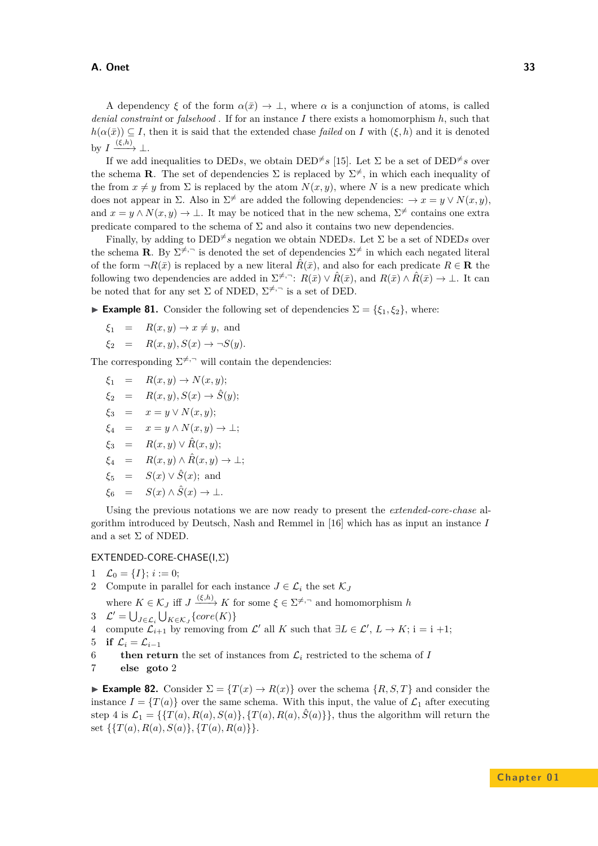A dependency  $\xi$  of the form  $\alpha(\bar{x}) \to \bot$ , where  $\alpha$  is a conjunction of atoms, is called *denial constraint* or *falsehood* . If for an instance *I* there exists a homomorphism *h*, such that  $h(\alpha(\bar{x})) \subset I$ , then it is said that the extended chase *failed* on *I* with  $(\xi, h)$  and it is denoted by  $I \xrightarrow{(\xi,h)} \perp$ .

If we add inequalities to DED<sub>s</sub>, we obtain DED<sup> $\neq$ </sup>s [\[15\]](#page-34-15). Let  $\Sigma$  be a set of DED<sup> $\neq$ </sup>s over the schema **R**. The set of dependencies  $\Sigma$  is replaced by  $\Sigma^{\neq}$ , in which each inequality of the from  $x \neq y$  from  $\Sigma$  is replaced by the atom  $N(x, y)$ , where N is a new predicate which does not appear in  $\Sigma$ . Also in  $\Sigma^{\neq}$  are added the following dependencies:  $\rightarrow x = y \vee N(x, y)$ , and  $x = y \wedge N(x, y) \rightarrow \bot$ . It may be noticed that in the new schema,  $\Sigma^{\neq}$  contains one extra predicate compared to the schema of  $\Sigma$  and also it contains two new dependencies.

Finally, by adding to  $\text{DED}^{\neq}$  s negation we obtain NDEDs. Let  $\Sigma$  be a set of NDEDs over the schema **R**. By  $\Sigma^{\neq}$  is denoted the set of dependencies  $\Sigma^{\neq}$  in which each negated literal of the form  $\neg R(\bar{x})$  is replaced by a new literal  $\hat{R}(\bar{x})$ , and also for each predicate  $R \in \mathbf{R}$  the following two dependencies are added in  $\Sigma^{\neq}$ , $\bar{R}$ :  $R(\bar{x}) \vee \hat{R}(\bar{x})$ , and  $R(\bar{x}) \wedge \hat{R}(\bar{x}) \rightarrow \bot$ . It can be noted that for any set  $\Sigma$  of NDED,  $\Sigma^{\neq, \neg}$  is a set of DED.

**► Example 81.** Consider the following set of dependencies  $\Sigma = \{\xi_1, \xi_2\}$ , where:

$$
\xi_1 = R(x, y) \rightarrow x \neq y
$$
, and

$$
\xi_2 = R(x, y), S(x) \to \neg S(y).
$$

The corresponding  $\Sigma^{\neq}$ , will contain the dependencies:

- $\xi_1 = R(x, y) \rightarrow N(x, y);$
- $\xi_2 = R(x, y), S(x) \rightarrow \hat{S}(y);$
- *ξ*<sup>3</sup> = *x* = *y* ∨ *N*(*x, y*);
- $\xi_4 = x = y \wedge N(x, y) \rightarrow \bot;$
- $\xi_3 = R(x, y) \vee \hat{R}(x, y);$
- $\xi_4 = R(x, y) \wedge \hat{R}(x, y) \rightarrow \bot;$
- $\xi_5 = S(x) \vee \hat{S}(x)$ ; and
- $\xi_6 = S(x) \wedge \hat{S}(x) \rightarrow \bot$ .

Using the previous notations we are now ready to present the *extended-core-chase* algorithm introduced by Deutsch, Nash and Remmel in [\[16\]](#page-34-10) which has as input an instance *I* and a set  $\Sigma$  of NDED.

#### EXTENDED-CORE-CHASE(I,Σ)

1 
$$
\mathcal{L}_0 = \{I\}; i := 0;
$$

2 Compute in parallel for each instance  $J \in \mathcal{L}_i$  the set  $\mathcal{K}_J$ 

where  $K \in \mathcal{K}_J$  iff  $J \xrightarrow{(\xi,h)} K$  for some  $\xi \in \Sigma^{\neq,\neg}$  and homomorphism *h* 3  $\mathcal{L}' = \bigcup_{J \in \mathcal{L}} \bigcup_{K \in \mathcal{K}} \{core(K)\}\$ 

$$
\mathcal{L} = \bigcup_{J \in \mathcal{L}_i} \bigcup_{K \in \mathcal{K}_J} \{core(\mathbf{A})\}
$$

*J*  $\mathcal{L} - \bigcup_{J \in \mathcal{L}_i} \bigcup_{K \in \mathcal{K}_J} \iota^{\text{Core}(K)} f$ <br>
4 compute  $\mathcal{L}_{i+1}$  by removing from  $\mathcal{L}'$  all *K* such that  $\exists L \in \mathcal{L}', L \rightarrow K$ ; i = i +1;

- 5 **if**  $\mathcal{L}_i = \mathcal{L}_{i-1}$
- 6 **then return** the set of instances from  $\mathcal{L}_i$  restricted to the schema of *I*
- 7 **else goto** 2

<span id="page-32-0"></span>**Example 82.** Consider  $\Sigma = \{T(x) \to R(x)\}\$  over the schema  $\{R, S, T\}$  and consider the instance  $I = \{T(a)\}\$ over the same schema. With this input, the value of  $\mathcal{L}_1$  after executing step 4 is  $\mathcal{L}_1 = \{ \{T(a), R(a), S(a) \}, \{T(a), R(a), \hat{S}(a) \} \}$ , thus the algorithm will return the set  $\{\{T(a), R(a), S(a)\}, \{T(a), R(a)\}\}.$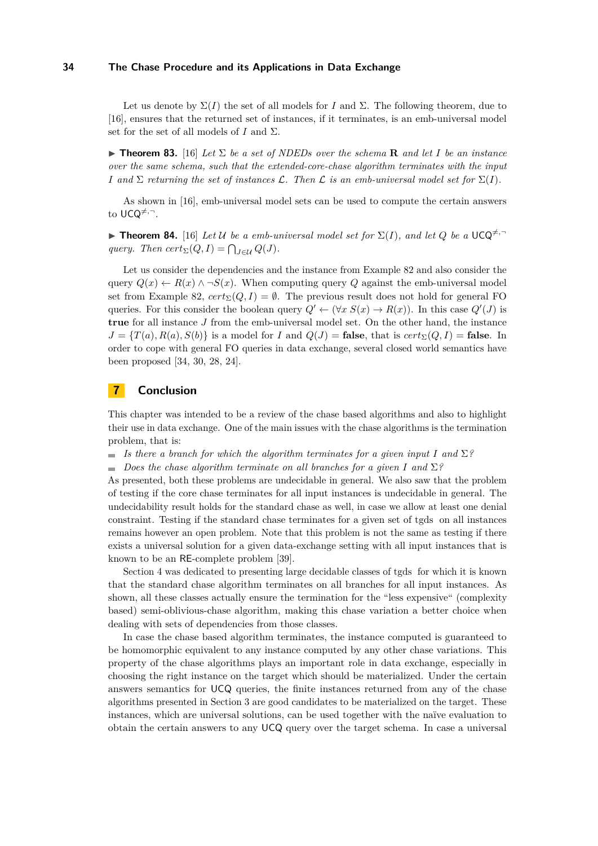Let us denote by  $\Sigma(I)$  the set of all models for *I* and  $\Sigma$ . The following theorem, due to [\[16\]](#page-34-10), ensures that the returned set of instances, if it terminates, is an emb-universal model set for the set of all models of *I* and Σ.

 $\triangleright$  **Theorem 83.** [\[16\]](#page-34-10) Let  $\Sigma$  be a set of NDEDs over the schema **R** and let I be an instance *over the same schema, such that the extended-core-chase algorithm terminates with the input I* and  $\Sigma$  *returning the set of instances*  $\mathcal{L}$ *. Then*  $\mathcal{L}$  *is an emb-universal model set for*  $\Sigma(I)$ *.* 

As shown in [\[16\]](#page-34-10), emb-universal model sets can be used to compute the certain answers to UCQ<sup>≠,-</sup>.

**Theorem 84.** [\[16\]](#page-34-10) Let U be a emb-universal model set for  $\Sigma(I)$ , and let Q be a  $UCQ^{\neq}$ *query.* Then  $cert_{\Sigma}(Q, I) = \bigcap_{J \in \mathcal{U}} Q(J)$ .

Let us consider the dependencies and the instance from Example [82](#page-32-0) and also consider the query  $Q(x) \leftarrow R(x) \wedge \neg S(x)$ . When computing query Q against the emb-universal model set from Example [82,](#page-32-0)  $cert_{\Sigma}(Q, I) = \emptyset$ . The previous result does not hold for general FO queries. For this consider the boolean query  $Q' \leftarrow (\forall x \ S(x) \rightarrow R(x))$ . In this case  $Q'(J)$  is **true** for all instance *J* from the emb-universal model set. On the other hand, the instance  $J = \{T(a), R(a), S(b)\}\$ is a model for *I* and  $Q(J) =$  **false**, that is  $cert_{\Sigma}(Q, I) =$  **false**. In order to cope with general FO queries in data exchange, several closed world semantics have been proposed [\[34,](#page-35-23) [30,](#page-35-13) [28,](#page-35-24) [24\]](#page-35-10).

# **7 Conclusion**

This chapter was intended to be a review of the chase based algorithms and also to highlight their use in data exchange. One of the main issues with the chase algorithms is the termination problem, that is:

 $\blacksquare$  *Is there a branch for which the algorithm terminates for a given input I* and  $\Sigma$ ?

 $\blacksquare$  *Does the chase algorithm terminate on all branches for a given I* and  $\Sigma$ ?

As presented, both these problems are undecidable in general. We also saw that the problem of testing if the core chase terminates for all input instances is undecidable in general. The undecidability result holds for the standard chase as well, in case we allow at least one denial constraint. Testing if the standard chase terminates for a given set of tgds on all instances remains however an open problem. Note that this problem is not the same as testing if there exists a universal solution for a given data-exchange setting with all input instances that is known to be an RE-complete problem [\[39\]](#page-35-26).

Section [4](#page-13-0) was dedicated to presenting large decidable classes of tgds for which it is known that the standard chase algorithm terminates on all branches for all input instances. As shown, all these classes actually ensure the termination for the "less expensive" (complexity based) semi-oblivious-chase algorithm, making this chase variation a better choice when dealing with sets of dependencies from those classes.

In case the chase based algorithm terminates, the instance computed is guaranteed to be homomorphic equivalent to any instance computed by any other chase variations. This property of the chase algorithms plays an important role in data exchange, especially in choosing the right instance on the target which should be materialized. Under the certain answers semantics for UCQ queries, the finite instances returned from any of the chase algorithms presented in Section [3](#page-2-0) are good candidates to be materialized on the target. These instances, which are universal solutions, can be used together with the naïve evaluation to obtain the certain answers to any UCQ query over the target schema. In case a universal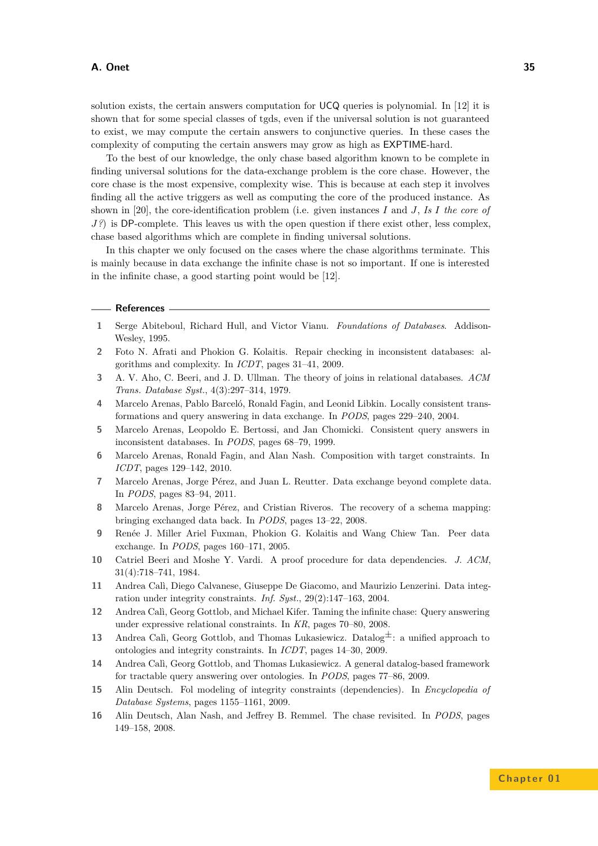solution exists, the certain answers computation for UCQ queries is polynomial. In [\[12\]](#page-34-9) it is shown that for some special classes of tgds, even if the universal solution is not guaranteed to exist, we may compute the certain answers to conjunctive queries. In these cases the complexity of computing the certain answers may grow as high as EXPTIME-hard.

To the best of our knowledge, the only chase based algorithm known to be complete in finding universal solutions for the data-exchange problem is the core chase. However, the core chase is the most expensive, complexity wise. This is because at each step it involves finding all the active triggers as well as computing the core of the produced instance. As shown in [\[20\]](#page-35-21), the core-identification problem (i.e. given instances *I* and *J*, *Is I the core of J*?) is DP-complete. This leaves us with the open question if there exist other, less complex, chase based algorithms which are complete in finding universal solutions.

In this chapter we only focused on the cases where the chase algorithms terminate. This is mainly because in data exchange the infinite chase is not so important. If one is interested in the infinite chase, a good starting point would be [\[12\]](#page-34-9).

#### **References**

- <span id="page-34-8"></span>**1** Serge Abiteboul, Richard Hull, and Victor Vianu. *Foundations of Databases*. Addison-Wesley, 1995.
- <span id="page-34-6"></span>**2** Foto N. Afrati and Phokion G. Kolaitis. Repair checking in inconsistent databases: algorithms and complexity. In *ICDT*, pages 31–41, 2009.
- <span id="page-34-1"></span>**3** A. V. Aho, C. Beeri, and J. D. Ullman. The theory of joins in relational databases. *ACM Trans. Database Syst.*, 4(3):297–314, 1979.
- <span id="page-34-13"></span>**4** Marcelo Arenas, Pablo Barceló, Ronald Fagin, and Leonid Libkin. Locally consistent transformations and query answering in data exchange. In *PODS*, pages 229–240, 2004.
- <span id="page-34-5"></span>**5** Marcelo Arenas, Leopoldo E. Bertossi, and Jan Chomicki. Consistent query answers in inconsistent databases. In *PODS*, pages 68–79, 1999.
- <span id="page-34-12"></span>**6** Marcelo Arenas, Ronald Fagin, and Alan Nash. Composition with target constraints. In *ICDT*, pages 129–142, 2010.
- <span id="page-34-14"></span>**7** Marcelo Arenas, Jorge Pérez, and Juan L. Reutter. Data exchange beyond complete data. In *PODS*, pages 83–94, 2011.
- <span id="page-34-11"></span>**8** Marcelo Arenas, Jorge Pérez, and Cristian Riveros. The recovery of a schema mapping: bringing exchanged data back. In *PODS*, pages 13–22, 2008.
- <span id="page-34-7"></span>**9** Renée J. Miller Ariel Fuxman, Phokion G. Kolaitis and Wang Chiew Tan. Peer data exchange. In *PODS*, pages 160–171, 2005.
- <span id="page-34-0"></span>**10** Catriel Beeri and Moshe Y. Vardi. A proof procedure for data dependencies. *J. ACM*, 31(4):718–741, 1984.
- <span id="page-34-2"></span>**11** Andrea Calì, Diego Calvanese, Giuseppe De Giacomo, and Maurizio Lenzerini. Data integration under integrity constraints. *Inf. Syst.*, 29(2):147–163, 2004.
- <span id="page-34-9"></span>**12** Andrea Calì, Georg Gottlob, and Michael Kifer. Taming the infinite chase: Query answering under expressive relational constraints. In *KR*, pages 70–80, 2008.
- <span id="page-34-4"></span>**13** Andrea Calì, Georg Gottlob, and Thomas Lukasiewicz. Datalog<sup> $\pm$ </sup>: a unified approach to ontologies and integrity constraints. In *ICDT*, pages 14–30, 2009.
- <span id="page-34-3"></span>**14** Andrea Calì, Georg Gottlob, and Thomas Lukasiewicz. A general datalog-based framework for tractable query answering over ontologies. In *PODS*, pages 77–86, 2009.
- <span id="page-34-15"></span>**15** Alin Deutsch. Fol modeling of integrity constraints (dependencies). In *Encyclopedia of Database Systems*, pages 1155–1161, 2009.
- <span id="page-34-10"></span>**16** Alin Deutsch, Alan Nash, and Jeffrey B. Remmel. The chase revisited. In *PODS*, pages 149–158, 2008.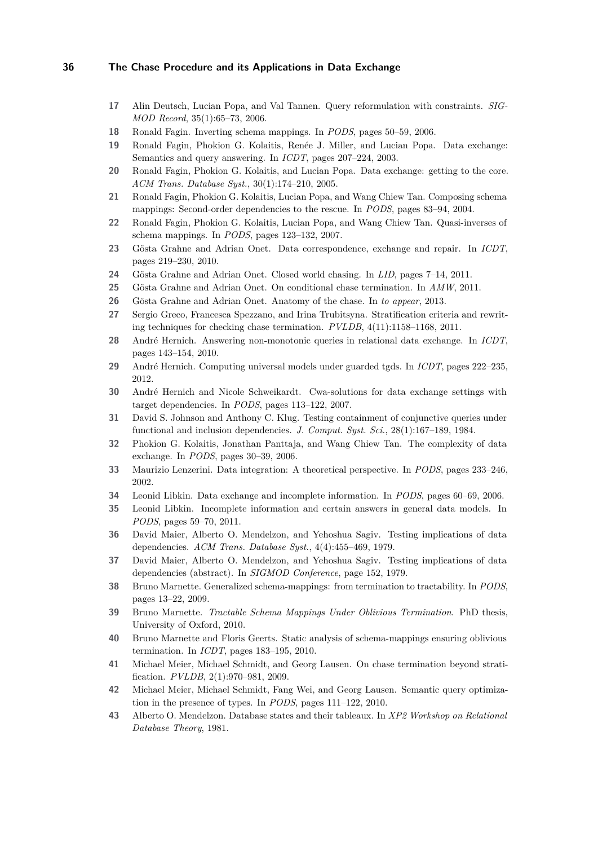- <span id="page-35-7"></span>**17** Alin Deutsch, Lucian Popa, and Val Tannen. Query reformulation with constraints. *SIG-MOD Record*, 35(1):65–73, 2006.
- <span id="page-35-16"></span>**18** Ronald Fagin. Inverting schema mappings. In *PODS*, pages 50–59, 2006.
- <span id="page-35-6"></span>**19** Ronald Fagin, Phokion G. Kolaitis, Renée J. Miller, and Lucian Popa. Data exchange: Semantics and query answering. In *ICDT*, pages 207–224, 2003.
- <span id="page-35-21"></span>**20** Ronald Fagin, Phokion G. Kolaitis, and Lucian Popa. Data exchange: getting to the core. *ACM Trans. Database Syst.*, 30(1):174–210, 2005.
- <span id="page-35-18"></span>**21** Ronald Fagin, Phokion G. Kolaitis, Lucian Popa, and Wang Chiew Tan. Composing schema mappings: Second-order dependencies to the rescue. In *PODS*, pages 83–94, 2004.
- <span id="page-35-17"></span>**22** Ronald Fagin, Phokion G. Kolaitis, Lucian Popa, and Wang Chiew Tan. Quasi-inverses of schema mappings. In *PODS*, pages 123–132, 2007.
- <span id="page-35-5"></span>**23** Gösta Grahne and Adrian Onet. Data correspondence, exchange and repair. In *ICDT*, pages 219–230, 2010.
- <span id="page-35-10"></span>**24** Gösta Grahne and Adrian Onet. Closed world chasing. In *LID*, pages 7–14, 2011.
- <span id="page-35-12"></span>**25** Gösta Grahne and Adrian Onet. On conditional chase termination. In *AMW*, 2011.
- <span id="page-35-11"></span>**26** Gösta Grahne and Adrian Onet. Anatomy of the chase. In *to appear*, 2013.
- <span id="page-35-15"></span>**27** Sergio Greco, Francesca Spezzano, and Irina Trubitsyna. Stratification criteria and rewriting techniques for checking chase termination. *PVLDB*, 4(11):1158–1168, 2011.
- <span id="page-35-24"></span>**28** André Hernich. Answering non-monotonic queries in relational data exchange. In *ICDT*, pages 143–154, 2010.
- <span id="page-35-22"></span>**29** André Hernich. Computing universal models under guarded tgds. In *ICDT*, pages 222–235, 2012.
- <span id="page-35-13"></span>**30** André Hernich and Nicole Schweikardt. Cwa-solutions for data exchange settings with target dependencies. In *PODS*, pages 113–122, 2007.
- <span id="page-35-3"></span>**31** David S. Johnson and Anthony C. Klug. Testing containment of conjunctive queries under functional and inclusion dependencies. *J. Comput. Syst. Sci.*, 28(1):167–189, 1984.
- <span id="page-35-19"></span>**32** Phokion G. Kolaitis, Jonathan Panttaja, and Wang Chiew Tan. The complexity of data exchange. In *PODS*, pages 30–39, 2006.
- <span id="page-35-4"></span>**33** Maurizio Lenzerini. Data integration: A theoretical perspective. In *PODS*, pages 233–246, 2002.
- <span id="page-35-23"></span>**34** Leonid Libkin. Data exchange and incomplete information. In *PODS*, pages 60–69, 2006.
- <span id="page-35-20"></span>**35** Leonid Libkin. Incomplete information and certain answers in general data models. In *PODS*, pages 59–70, 2011.
- <span id="page-35-0"></span>**36** David Maier, Alberto O. Mendelzon, and Yehoshua Sagiv. Testing implications of data dependencies. *ACM Trans. Database Syst.*, 4(4):455–469, 1979.
- <span id="page-35-1"></span>**37** David Maier, Alberto O. Mendelzon, and Yehoshua Sagiv. Testing implications of data dependencies (abstract). In *SIGMOD Conference*, page 152, 1979.
- <span id="page-35-9"></span>**38** Bruno Marnette. Generalized schema-mappings: from termination to tractability. In *PODS*, pages 13–22, 2009.
- <span id="page-35-26"></span>**39** Bruno Marnette. *Tractable Schema Mappings Under Oblivious Termination*. PhD thesis, University of Oxford, 2010.
- <span id="page-35-25"></span>**40** Bruno Marnette and Floris Geerts. Static analysis of schema-mappings ensuring oblivious termination. In *ICDT*, pages 183–195, 2010.
- <span id="page-35-14"></span>**41** Michael Meier, Michael Schmidt, and Georg Lausen. On chase termination beyond stratification. *PVLDB*, 2(1):970–981, 2009.
- <span id="page-35-8"></span>**42** Michael Meier, Michael Schmidt, Fang Wei, and Georg Lausen. Semantic query optimization in the presence of types. In *PODS*, pages 111–122, 2010.
- <span id="page-35-2"></span>**43** Alberto O. Mendelzon. Database states and their tableaux. In *XP2 Workshop on Relational Database Theory*, 1981.